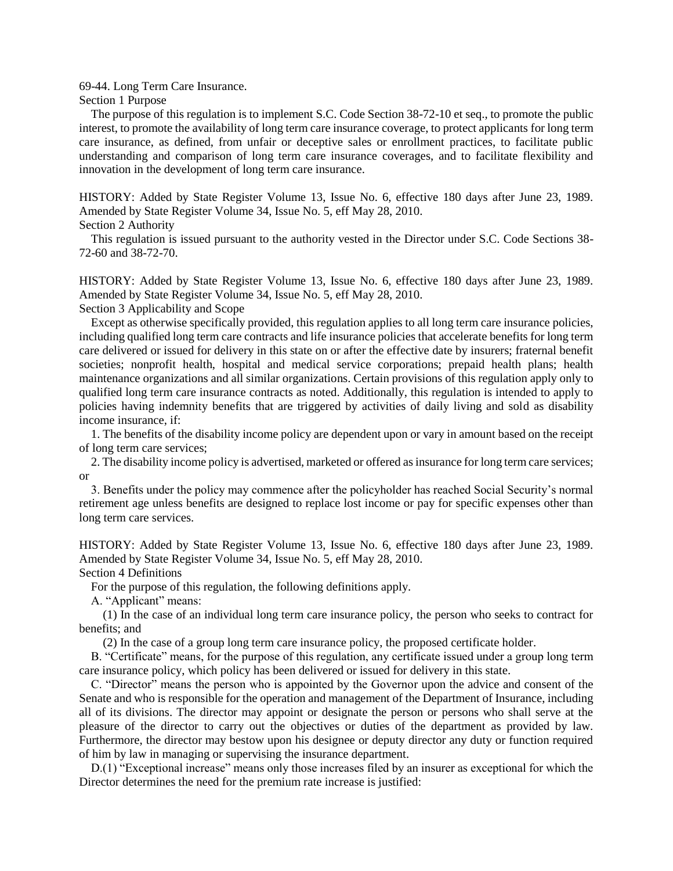69-44. Long Term Care Insurance.

Section 1 Purpose

The purpose of this regulation is to implement S.C. Code Section 38-72-10 et seq., to promote the public interest, to promote the availability of long term care insurance coverage, to protect applicants for long term care insurance, as defined, from unfair or deceptive sales or enrollment practices, to facilitate public understanding and comparison of long term care insurance coverages, and to facilitate flexibility and innovation in the development of long term care insurance.

HISTORY: Added by State Register Volume 13, Issue No. 6, effective 180 days after June 23, 1989. Amended by State Register Volume 34, Issue No. 5, eff May 28, 2010.

Section 2 Authority

This regulation is issued pursuant to the authority vested in the Director under S.C. Code Sections 38- 72-60 and 38-72-70.

HISTORY: Added by State Register Volume 13, Issue No. 6, effective 180 days after June 23, 1989. Amended by State Register Volume 34, Issue No. 5, eff May 28, 2010. Section 3 Applicability and Scope

Except as otherwise specifically provided, this regulation applies to all long term care insurance policies, including qualified long term care contracts and life insurance policies that accelerate benefits for long term care delivered or issued for delivery in this state on or after the effective date by insurers; fraternal benefit societies; nonprofit health, hospital and medical service corporations; prepaid health plans; health maintenance organizations and all similar organizations. Certain provisions of this regulation apply only to qualified long term care insurance contracts as noted. Additionally, this regulation is intended to apply to policies having indemnity benefits that are triggered by activities of daily living and sold as disability income insurance, if:

1. The benefits of the disability income policy are dependent upon or vary in amount based on the receipt of long term care services;

2. The disability income policy is advertised, marketed or offered as insurance for long term care services; or

3. Benefits under the policy may commence after the policyholder has reached Social Security's normal retirement age unless benefits are designed to replace lost income or pay for specific expenses other than long term care services.

HISTORY: Added by State Register Volume 13, Issue No. 6, effective 180 days after June 23, 1989. Amended by State Register Volume 34, Issue No. 5, eff May 28, 2010.

Section 4 Definitions

For the purpose of this regulation, the following definitions apply.

A. "Applicant" means:

(1) In the case of an individual long term care insurance policy, the person who seeks to contract for benefits; and

(2) In the case of a group long term care insurance policy, the proposed certificate holder.

B. "Certificate" means, for the purpose of this regulation, any certificate issued under a group long term care insurance policy, which policy has been delivered or issued for delivery in this state.

C. "Director" means the person who is appointed by the Governor upon the advice and consent of the Senate and who is responsible for the operation and management of the Department of Insurance, including all of its divisions. The director may appoint or designate the person or persons who shall serve at the pleasure of the director to carry out the objectives or duties of the department as provided by law. Furthermore, the director may bestow upon his designee or deputy director any duty or function required of him by law in managing or supervising the insurance department.

D.(1) "Exceptional increase" means only those increases filed by an insurer as exceptional for which the Director determines the need for the premium rate increase is justified: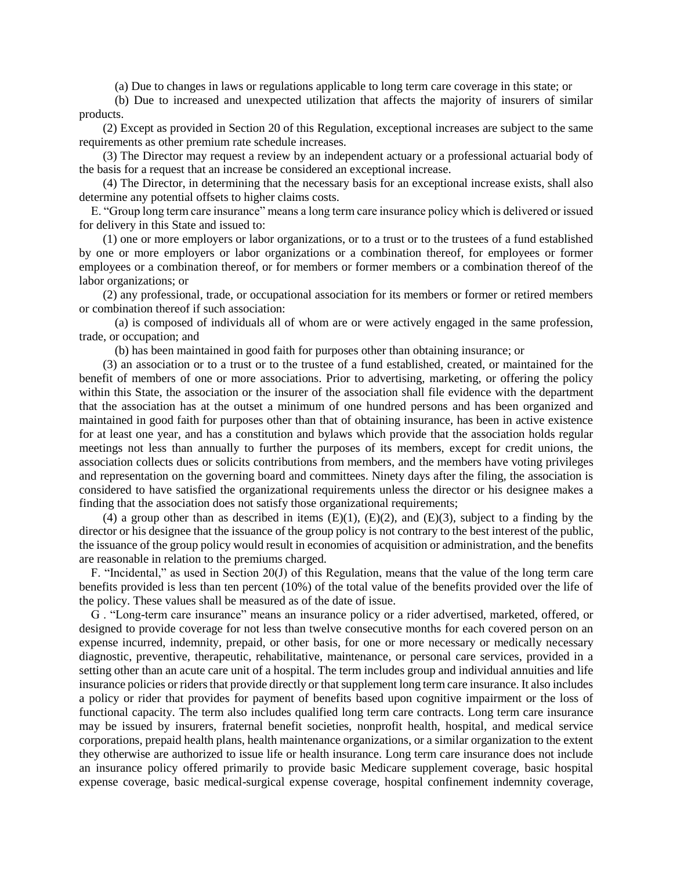(a) Due to changes in laws or regulations applicable to long term care coverage in this state; or

(b) Due to increased and unexpected utilization that affects the majority of insurers of similar products.

(2) Except as provided in Section 20 of this Regulation, exceptional increases are subject to the same requirements as other premium rate schedule increases.

(3) The Director may request a review by an independent actuary or a professional actuarial body of the basis for a request that an increase be considered an exceptional increase.

(4) The Director, in determining that the necessary basis for an exceptional increase exists, shall also determine any potential offsets to higher claims costs.

E. "Group long term care insurance" means a long term care insurance policy which is delivered or issued for delivery in this State and issued to:

(1) one or more employers or labor organizations, or to a trust or to the trustees of a fund established by one or more employers or labor organizations or a combination thereof, for employees or former employees or a combination thereof, or for members or former members or a combination thereof of the labor organizations; or

(2) any professional, trade, or occupational association for its members or former or retired members or combination thereof if such association:

(a) is composed of individuals all of whom are or were actively engaged in the same profession, trade, or occupation; and

(b) has been maintained in good faith for purposes other than obtaining insurance; or

(3) an association or to a trust or to the trustee of a fund established, created, or maintained for the benefit of members of one or more associations. Prior to advertising, marketing, or offering the policy within this State, the association or the insurer of the association shall file evidence with the department that the association has at the outset a minimum of one hundred persons and has been organized and maintained in good faith for purposes other than that of obtaining insurance, has been in active existence for at least one year, and has a constitution and bylaws which provide that the association holds regular meetings not less than annually to further the purposes of its members, except for credit unions, the association collects dues or solicits contributions from members, and the members have voting privileges and representation on the governing board and committees. Ninety days after the filing, the association is considered to have satisfied the organizational requirements unless the director or his designee makes a finding that the association does not satisfy those organizational requirements;

(4) a group other than as described in items  $(E)(1)$ ,  $(E)(2)$ , and  $(E)(3)$ , subject to a finding by the director or his designee that the issuance of the group policy is not contrary to the best interest of the public, the issuance of the group policy would result in economies of acquisition or administration, and the benefits are reasonable in relation to the premiums charged.

F. "Incidental," as used in Section 20(J) of this Regulation, means that the value of the long term care benefits provided is less than ten percent (10%) of the total value of the benefits provided over the life of the policy. These values shall be measured as of the date of issue.

G . "Long-term care insurance" means an insurance policy or a rider advertised, marketed, offered, or designed to provide coverage for not less than twelve consecutive months for each covered person on an expense incurred, indemnity, prepaid, or other basis, for one or more necessary or medically necessary diagnostic, preventive, therapeutic, rehabilitative, maintenance, or personal care services, provided in a setting other than an acute care unit of a hospital. The term includes group and individual annuities and life insurance policies or riders that provide directly or that supplement long term care insurance. It also includes a policy or rider that provides for payment of benefits based upon cognitive impairment or the loss of functional capacity. The term also includes qualified long term care contracts. Long term care insurance may be issued by insurers, fraternal benefit societies, nonprofit health, hospital, and medical service corporations, prepaid health plans, health maintenance organizations, or a similar organization to the extent they otherwise are authorized to issue life or health insurance. Long term care insurance does not include an insurance policy offered primarily to provide basic Medicare supplement coverage, basic hospital expense coverage, basic medical-surgical expense coverage, hospital confinement indemnity coverage,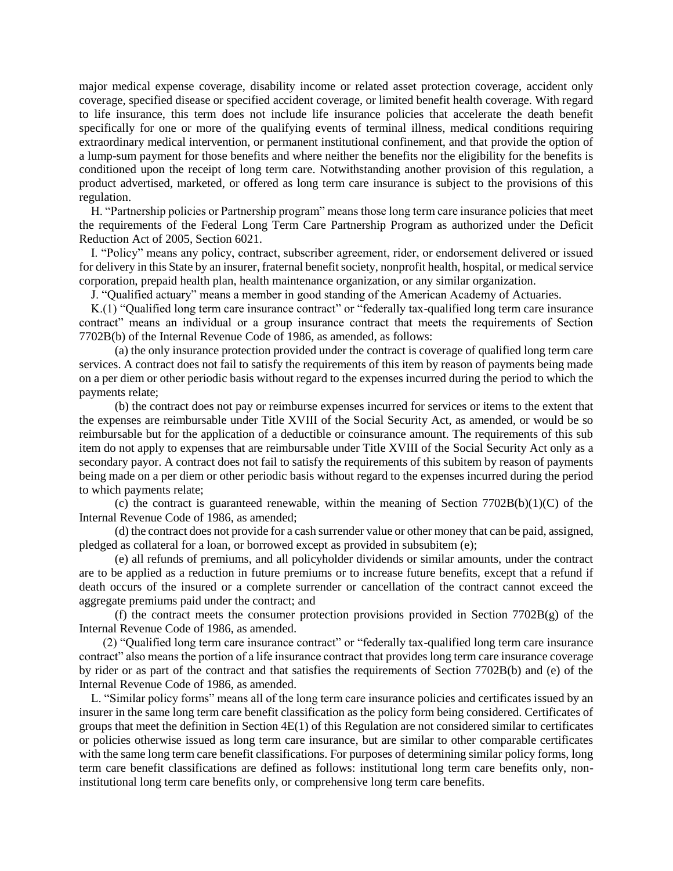major medical expense coverage, disability income or related asset protection coverage, accident only coverage, specified disease or specified accident coverage, or limited benefit health coverage. With regard to life insurance, this term does not include life insurance policies that accelerate the death benefit specifically for one or more of the qualifying events of terminal illness, medical conditions requiring extraordinary medical intervention, or permanent institutional confinement, and that provide the option of a lump-sum payment for those benefits and where neither the benefits nor the eligibility for the benefits is conditioned upon the receipt of long term care. Notwithstanding another provision of this regulation, a product advertised, marketed, or offered as long term care insurance is subject to the provisions of this regulation.

H. "Partnership policies or Partnership program" means those long term care insurance policies that meet the requirements of the Federal Long Term Care Partnership Program as authorized under the Deficit Reduction Act of 2005, Section 6021.

I. "Policy" means any policy, contract, subscriber agreement, rider, or endorsement delivered or issued for delivery in this State by an insurer, fraternal benefit society, nonprofit health, hospital, or medical service corporation, prepaid health plan, health maintenance organization, or any similar organization.

J. "Qualified actuary" means a member in good standing of the American Academy of Actuaries.

K.(1) "Qualified long term care insurance contract" or "federally tax-qualified long term care insurance contract" means an individual or a group insurance contract that meets the requirements of Section 7702B(b) of the Internal Revenue Code of 1986, as amended, as follows:

(a) the only insurance protection provided under the contract is coverage of qualified long term care services. A contract does not fail to satisfy the requirements of this item by reason of payments being made on a per diem or other periodic basis without regard to the expenses incurred during the period to which the payments relate;

(b) the contract does not pay or reimburse expenses incurred for services or items to the extent that the expenses are reimbursable under Title XVIII of the Social Security Act, as amended, or would be so reimbursable but for the application of a deductible or coinsurance amount. The requirements of this sub item do not apply to expenses that are reimbursable under Title XVIII of the Social Security Act only as a secondary payor. A contract does not fail to satisfy the requirements of this subitem by reason of payments being made on a per diem or other periodic basis without regard to the expenses incurred during the period to which payments relate;

(c) the contract is guaranteed renewable, within the meaning of Section  $7702B(b)(1)(C)$  of the Internal Revenue Code of 1986, as amended;

(d) the contract does not provide for a cash surrender value or other money that can be paid, assigned, pledged as collateral for a loan, or borrowed except as provided in subsubitem (e);

(e) all refunds of premiums, and all policyholder dividends or similar amounts, under the contract are to be applied as a reduction in future premiums or to increase future benefits, except that a refund if death occurs of the insured or a complete surrender or cancellation of the contract cannot exceed the aggregate premiums paid under the contract; and

(f) the contract meets the consumer protection provisions provided in Section 7702B(g) of the Internal Revenue Code of 1986, as amended.

(2) "Qualified long term care insurance contract" or "federally tax-qualified long term care insurance contract" also means the portion of a life insurance contract that provides long term care insurance coverage by rider or as part of the contract and that satisfies the requirements of Section 7702B(b) and (e) of the Internal Revenue Code of 1986, as amended.

L. "Similar policy forms" means all of the long term care insurance policies and certificates issued by an insurer in the same long term care benefit classification as the policy form being considered. Certificates of groups that meet the definition in Section 4E(1) of this Regulation are not considered similar to certificates or policies otherwise issued as long term care insurance, but are similar to other comparable certificates with the same long term care benefit classifications. For purposes of determining similar policy forms, long term care benefit classifications are defined as follows: institutional long term care benefits only, noninstitutional long term care benefits only, or comprehensive long term care benefits.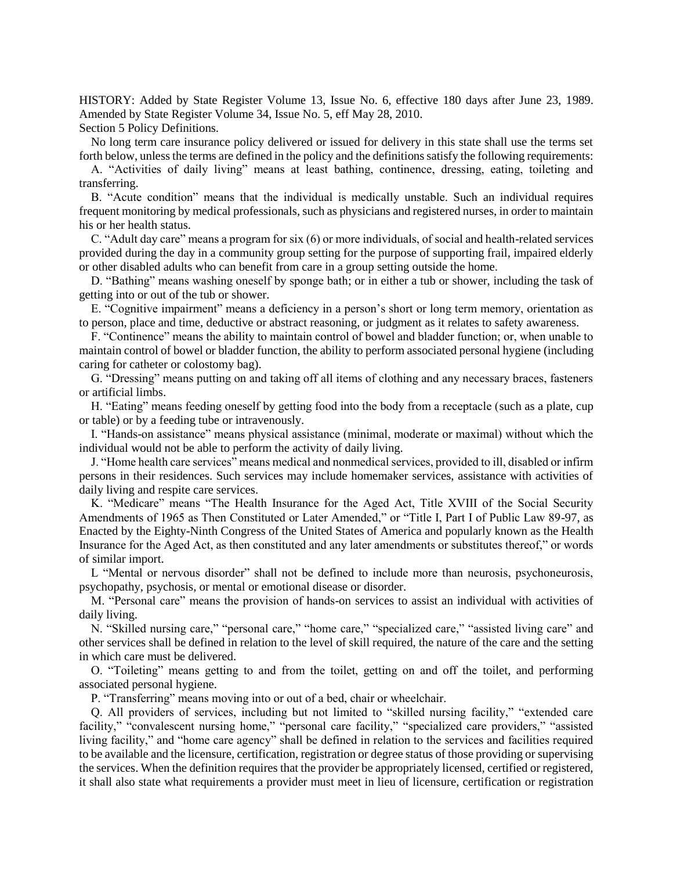HISTORY: Added by State Register Volume 13, Issue No. 6, effective 180 days after June 23, 1989. Amended by State Register Volume 34, Issue No. 5, eff May 28, 2010.

Section 5 Policy Definitions.

No long term care insurance policy delivered or issued for delivery in this state shall use the terms set forth below, unless the terms are defined in the policy and the definitions satisfy the following requirements:

A. "Activities of daily living" means at least bathing, continence, dressing, eating, toileting and transferring.

B. "Acute condition" means that the individual is medically unstable. Such an individual requires frequent monitoring by medical professionals, such as physicians and registered nurses, in order to maintain his or her health status.

C. "Adult day care" means a program for six (6) or more individuals, of social and health-related services provided during the day in a community group setting for the purpose of supporting frail, impaired elderly or other disabled adults who can benefit from care in a group setting outside the home.

D. "Bathing" means washing oneself by sponge bath; or in either a tub or shower, including the task of getting into or out of the tub or shower.

E. "Cognitive impairment" means a deficiency in a person's short or long term memory, orientation as to person, place and time, deductive or abstract reasoning, or judgment as it relates to safety awareness.

F. "Continence" means the ability to maintain control of bowel and bladder function; or, when unable to maintain control of bowel or bladder function, the ability to perform associated personal hygiene (including caring for catheter or colostomy bag).

G. "Dressing" means putting on and taking off all items of clothing and any necessary braces, fasteners or artificial limbs.

H. "Eating" means feeding oneself by getting food into the body from a receptacle (such as a plate, cup or table) or by a feeding tube or intravenously.

I. "Hands-on assistance" means physical assistance (minimal, moderate or maximal) without which the individual would not be able to perform the activity of daily living.

J. "Home health care services" means medical and nonmedical services, provided to ill, disabled or infirm persons in their residences. Such services may include homemaker services, assistance with activities of daily living and respite care services.

K. "Medicare" means "The Health Insurance for the Aged Act, Title XVIII of the Social Security Amendments of 1965 as Then Constituted or Later Amended," or "Title I, Part I of Public Law 89-97, as Enacted by the Eighty-Ninth Congress of the United States of America and popularly known as the Health Insurance for the Aged Act, as then constituted and any later amendments or substitutes thereof," or words of similar import.

L "Mental or nervous disorder" shall not be defined to include more than neurosis, psychoneurosis, psychopathy, psychosis, or mental or emotional disease or disorder.

M. "Personal care" means the provision of hands-on services to assist an individual with activities of daily living.

N. "Skilled nursing care," "personal care," "home care," "specialized care," "assisted living care" and other services shall be defined in relation to the level of skill required, the nature of the care and the setting in which care must be delivered.

O. "Toileting" means getting to and from the toilet, getting on and off the toilet, and performing associated personal hygiene.

P. "Transferring" means moving into or out of a bed, chair or wheelchair.

Q. All providers of services, including but not limited to "skilled nursing facility," "extended care facility," "convalescent nursing home," "personal care facility," "specialized care providers," "assisted living facility," and "home care agency" shall be defined in relation to the services and facilities required to be available and the licensure, certification, registration or degree status of those providing or supervising the services. When the definition requires that the provider be appropriately licensed, certified or registered, it shall also state what requirements a provider must meet in lieu of licensure, certification or registration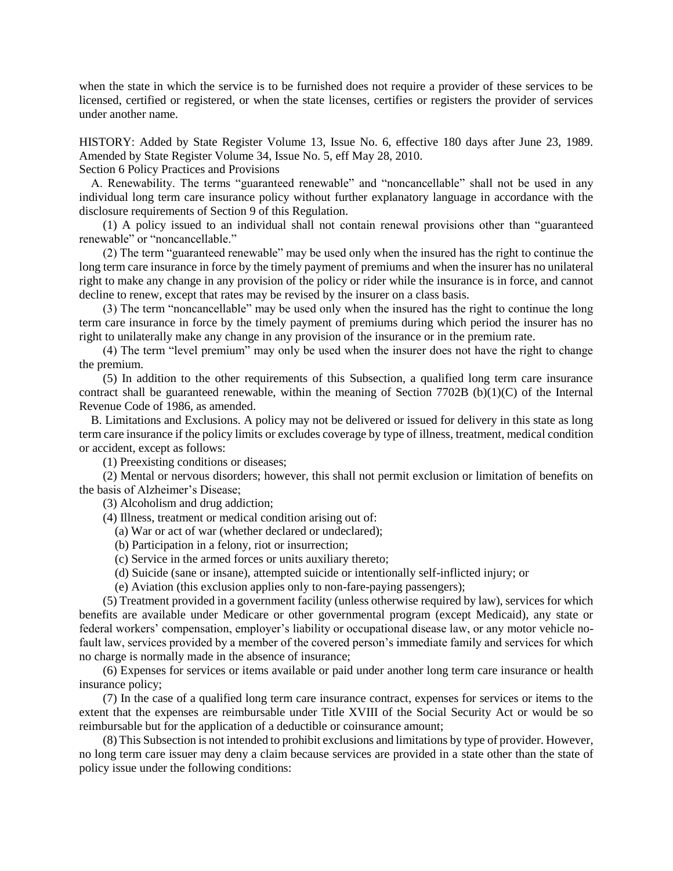when the state in which the service is to be furnished does not require a provider of these services to be licensed, certified or registered, or when the state licenses, certifies or registers the provider of services under another name.

HISTORY: Added by State Register Volume 13, Issue No. 6, effective 180 days after June 23, 1989. Amended by State Register Volume 34, Issue No. 5, eff May 28, 2010.

Section 6 Policy Practices and Provisions

A. Renewability. The terms "guaranteed renewable" and "noncancellable" shall not be used in any individual long term care insurance policy without further explanatory language in accordance with the disclosure requirements of Section 9 of this Regulation.

(1) A policy issued to an individual shall not contain renewal provisions other than "guaranteed renewable" or "noncancellable."

(2) The term "guaranteed renewable" may be used only when the insured has the right to continue the long term care insurance in force by the timely payment of premiums and when the insurer has no unilateral right to make any change in any provision of the policy or rider while the insurance is in force, and cannot decline to renew, except that rates may be revised by the insurer on a class basis.

(3) The term "noncancellable" may be used only when the insured has the right to continue the long term care insurance in force by the timely payment of premiums during which period the insurer has no right to unilaterally make any change in any provision of the insurance or in the premium rate.

(4) The term "level premium" may only be used when the insurer does not have the right to change the premium.

(5) In addition to the other requirements of this Subsection, a qualified long term care insurance contract shall be guaranteed renewable, within the meaning of Section 7702B (b)(1)(C) of the Internal Revenue Code of 1986, as amended.

B. Limitations and Exclusions. A policy may not be delivered or issued for delivery in this state as long term care insurance if the policy limits or excludes coverage by type of illness, treatment, medical condition or accident, except as follows:

(1) Preexisting conditions or diseases;

(2) Mental or nervous disorders; however, this shall not permit exclusion or limitation of benefits on the basis of Alzheimer's Disease;

(3) Alcoholism and drug addiction;

(4) Illness, treatment or medical condition arising out of:

(a) War or act of war (whether declared or undeclared);

- (b) Participation in a felony, riot or insurrection;
- (c) Service in the armed forces or units auxiliary thereto;
- (d) Suicide (sane or insane), attempted suicide or intentionally self-inflicted injury; or
- (e) Aviation (this exclusion applies only to non-fare-paying passengers);

(5) Treatment provided in a government facility (unless otherwise required by law), services for which benefits are available under Medicare or other governmental program (except Medicaid), any state or federal workers' compensation, employer's liability or occupational disease law, or any motor vehicle nofault law, services provided by a member of the covered person's immediate family and services for which no charge is normally made in the absence of insurance;

(6) Expenses for services or items available or paid under another long term care insurance or health insurance policy;

(7) In the case of a qualified long term care insurance contract, expenses for services or items to the extent that the expenses are reimbursable under Title XVIII of the Social Security Act or would be so reimbursable but for the application of a deductible or coinsurance amount;

(8) This Subsection is not intended to prohibit exclusions and limitations by type of provider. However, no long term care issuer may deny a claim because services are provided in a state other than the state of policy issue under the following conditions: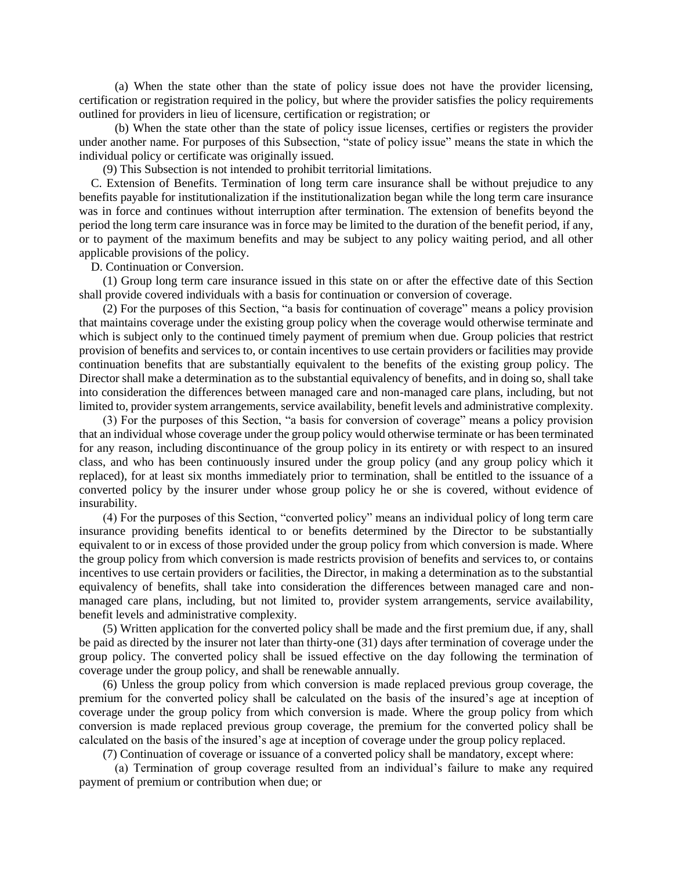(a) When the state other than the state of policy issue does not have the provider licensing, certification or registration required in the policy, but where the provider satisfies the policy requirements outlined for providers in lieu of licensure, certification or registration; or

(b) When the state other than the state of policy issue licenses, certifies or registers the provider under another name. For purposes of this Subsection, "state of policy issue" means the state in which the individual policy or certificate was originally issued.

(9) This Subsection is not intended to prohibit territorial limitations.

C. Extension of Benefits. Termination of long term care insurance shall be without prejudice to any benefits payable for institutionalization if the institutionalization began while the long term care insurance was in force and continues without interruption after termination. The extension of benefits beyond the period the long term care insurance was in force may be limited to the duration of the benefit period, if any, or to payment of the maximum benefits and may be subject to any policy waiting period, and all other applicable provisions of the policy.

D. Continuation or Conversion.

(1) Group long term care insurance issued in this state on or after the effective date of this Section shall provide covered individuals with a basis for continuation or conversion of coverage.

(2) For the purposes of this Section, "a basis for continuation of coverage" means a policy provision that maintains coverage under the existing group policy when the coverage would otherwise terminate and which is subject only to the continued timely payment of premium when due. Group policies that restrict provision of benefits and services to, or contain incentives to use certain providers or facilities may provide continuation benefits that are substantially equivalent to the benefits of the existing group policy. The Director shall make a determination as to the substantial equivalency of benefits, and in doing so, shall take into consideration the differences between managed care and non-managed care plans, including, but not limited to, provider system arrangements, service availability, benefit levels and administrative complexity.

(3) For the purposes of this Section, "a basis for conversion of coverage" means a policy provision that an individual whose coverage under the group policy would otherwise terminate or has been terminated for any reason, including discontinuance of the group policy in its entirety or with respect to an insured class, and who has been continuously insured under the group policy (and any group policy which it replaced), for at least six months immediately prior to termination, shall be entitled to the issuance of a converted policy by the insurer under whose group policy he or she is covered, without evidence of insurability.

(4) For the purposes of this Section, "converted policy" means an individual policy of long term care insurance providing benefits identical to or benefits determined by the Director to be substantially equivalent to or in excess of those provided under the group policy from which conversion is made. Where the group policy from which conversion is made restricts provision of benefits and services to, or contains incentives to use certain providers or facilities, the Director, in making a determination as to the substantial equivalency of benefits, shall take into consideration the differences between managed care and nonmanaged care plans, including, but not limited to, provider system arrangements, service availability, benefit levels and administrative complexity.

(5) Written application for the converted policy shall be made and the first premium due, if any, shall be paid as directed by the insurer not later than thirty-one (31) days after termination of coverage under the group policy. The converted policy shall be issued effective on the day following the termination of coverage under the group policy, and shall be renewable annually.

(6) Unless the group policy from which conversion is made replaced previous group coverage, the premium for the converted policy shall be calculated on the basis of the insured's age at inception of coverage under the group policy from which conversion is made. Where the group policy from which conversion is made replaced previous group coverage, the premium for the converted policy shall be calculated on the basis of the insured's age at inception of coverage under the group policy replaced.

(7) Continuation of coverage or issuance of a converted policy shall be mandatory, except where:

(a) Termination of group coverage resulted from an individual's failure to make any required payment of premium or contribution when due; or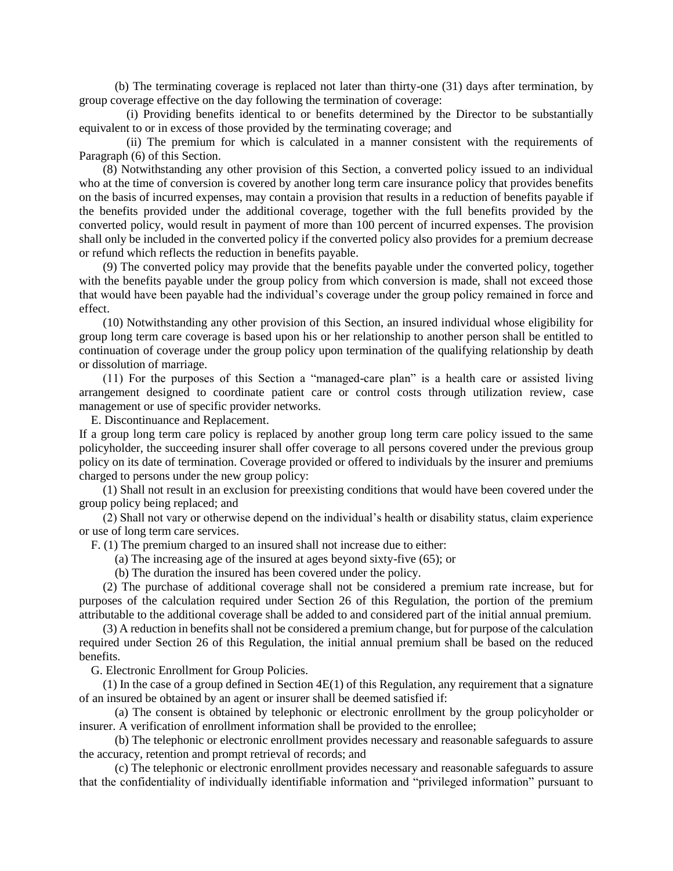(b) The terminating coverage is replaced not later than thirty-one (31) days after termination, by group coverage effective on the day following the termination of coverage:

(i) Providing benefits identical to or benefits determined by the Director to be substantially equivalent to or in excess of those provided by the terminating coverage; and

(ii) The premium for which is calculated in a manner consistent with the requirements of Paragraph (6) of this Section.

(8) Notwithstanding any other provision of this Section, a converted policy issued to an individual who at the time of conversion is covered by another long term care insurance policy that provides benefits on the basis of incurred expenses, may contain a provision that results in a reduction of benefits payable if the benefits provided under the additional coverage, together with the full benefits provided by the converted policy, would result in payment of more than 100 percent of incurred expenses. The provision shall only be included in the converted policy if the converted policy also provides for a premium decrease or refund which reflects the reduction in benefits payable.

(9) The converted policy may provide that the benefits payable under the converted policy, together with the benefits payable under the group policy from which conversion is made, shall not exceed those that would have been payable had the individual's coverage under the group policy remained in force and effect.

(10) Notwithstanding any other provision of this Section, an insured individual whose eligibility for group long term care coverage is based upon his or her relationship to another person shall be entitled to continuation of coverage under the group policy upon termination of the qualifying relationship by death or dissolution of marriage.

(11) For the purposes of this Section a "managed-care plan" is a health care or assisted living arrangement designed to coordinate patient care or control costs through utilization review, case management or use of specific provider networks.

E. Discontinuance and Replacement.

If a group long term care policy is replaced by another group long term care policy issued to the same policyholder, the succeeding insurer shall offer coverage to all persons covered under the previous group policy on its date of termination. Coverage provided or offered to individuals by the insurer and premiums charged to persons under the new group policy:

(1) Shall not result in an exclusion for preexisting conditions that would have been covered under the group policy being replaced; and

(2) Shall not vary or otherwise depend on the individual's health or disability status, claim experience or use of long term care services.

F. (1) The premium charged to an insured shall not increase due to either:

(a) The increasing age of the insured at ages beyond sixty-five (65); or

(b) The duration the insured has been covered under the policy.

(2) The purchase of additional coverage shall not be considered a premium rate increase, but for purposes of the calculation required under Section 26 of this Regulation, the portion of the premium attributable to the additional coverage shall be added to and considered part of the initial annual premium.

(3) A reduction in benefits shall not be considered a premium change, but for purpose of the calculation required under Section 26 of this Regulation, the initial annual premium shall be based on the reduced benefits.

G. Electronic Enrollment for Group Policies.

(1) In the case of a group defined in Section 4E(1) of this Regulation, any requirement that a signature of an insured be obtained by an agent or insurer shall be deemed satisfied if:

(a) The consent is obtained by telephonic or electronic enrollment by the group policyholder or insurer. A verification of enrollment information shall be provided to the enrollee;

(b) The telephonic or electronic enrollment provides necessary and reasonable safeguards to assure the accuracy, retention and prompt retrieval of records; and

(c) The telephonic or electronic enrollment provides necessary and reasonable safeguards to assure that the confidentiality of individually identifiable information and "privileged information" pursuant to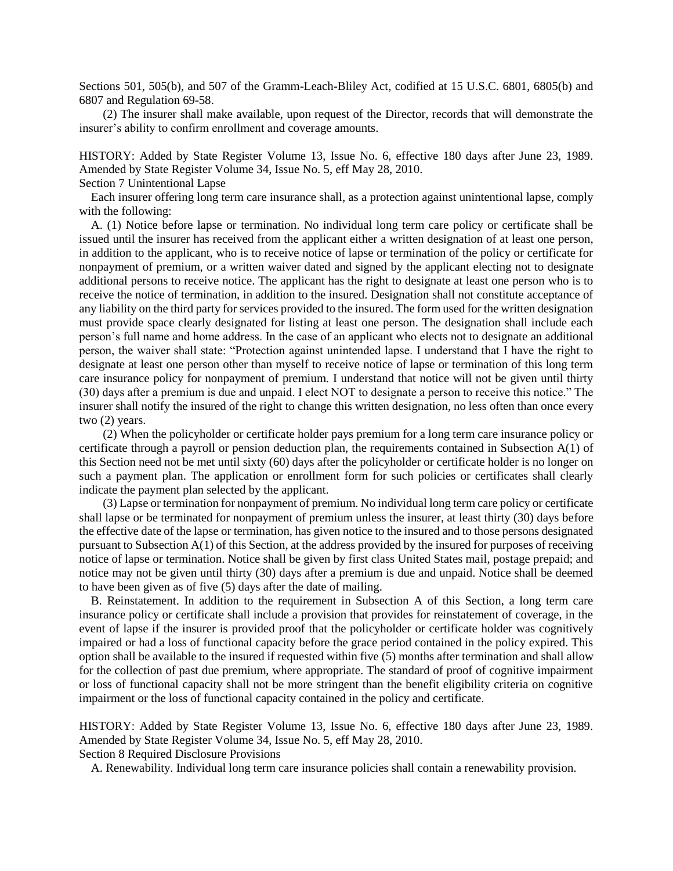Sections 501, 505(b), and 507 of the Gramm-Leach-Bliley Act, codified at 15 U.S.C. 6801, 6805(b) and 6807 and Regulation 69-58.

(2) The insurer shall make available, upon request of the Director, records that will demonstrate the insurer's ability to confirm enrollment and coverage amounts.

HISTORY: Added by State Register Volume 13, Issue No. 6, effective 180 days after June 23, 1989. Amended by State Register Volume 34, Issue No. 5, eff May 28, 2010.

Section 7 Unintentional Lapse

Each insurer offering long term care insurance shall, as a protection against unintentional lapse, comply with the following:

A. (1) Notice before lapse or termination. No individual long term care policy or certificate shall be issued until the insurer has received from the applicant either a written designation of at least one person, in addition to the applicant, who is to receive notice of lapse or termination of the policy or certificate for nonpayment of premium, or a written waiver dated and signed by the applicant electing not to designate additional persons to receive notice. The applicant has the right to designate at least one person who is to receive the notice of termination, in addition to the insured. Designation shall not constitute acceptance of any liability on the third party for services provided to the insured. The form used for the written designation must provide space clearly designated for listing at least one person. The designation shall include each person's full name and home address. In the case of an applicant who elects not to designate an additional person, the waiver shall state: "Protection against unintended lapse. I understand that I have the right to designate at least one person other than myself to receive notice of lapse or termination of this long term care insurance policy for nonpayment of premium. I understand that notice will not be given until thirty (30) days after a premium is due and unpaid. I elect NOT to designate a person to receive this notice." The insurer shall notify the insured of the right to change this written designation, no less often than once every two (2) years.

(2) When the policyholder or certificate holder pays premium for a long term care insurance policy or certificate through a payroll or pension deduction plan, the requirements contained in Subsection  $A(1)$  of this Section need not be met until sixty (60) days after the policyholder or certificate holder is no longer on such a payment plan. The application or enrollment form for such policies or certificates shall clearly indicate the payment plan selected by the applicant.

(3) Lapse or termination for nonpayment of premium. No individual long term care policy or certificate shall lapse or be terminated for nonpayment of premium unless the insurer, at least thirty (30) days before the effective date of the lapse or termination, has given notice to the insured and to those persons designated pursuant to Subsection A(1) of this Section, at the address provided by the insured for purposes of receiving notice of lapse or termination. Notice shall be given by first class United States mail, postage prepaid; and notice may not be given until thirty (30) days after a premium is due and unpaid. Notice shall be deemed to have been given as of five (5) days after the date of mailing.

B. Reinstatement. In addition to the requirement in Subsection A of this Section, a long term care insurance policy or certificate shall include a provision that provides for reinstatement of coverage, in the event of lapse if the insurer is provided proof that the policyholder or certificate holder was cognitively impaired or had a loss of functional capacity before the grace period contained in the policy expired. This option shall be available to the insured if requested within five (5) months after termination and shall allow for the collection of past due premium, where appropriate. The standard of proof of cognitive impairment or loss of functional capacity shall not be more stringent than the benefit eligibility criteria on cognitive impairment or the loss of functional capacity contained in the policy and certificate.

HISTORY: Added by State Register Volume 13, Issue No. 6, effective 180 days after June 23, 1989. Amended by State Register Volume 34, Issue No. 5, eff May 28, 2010. Section 8 Required Disclosure Provisions

A. Renewability. Individual long term care insurance policies shall contain a renewability provision.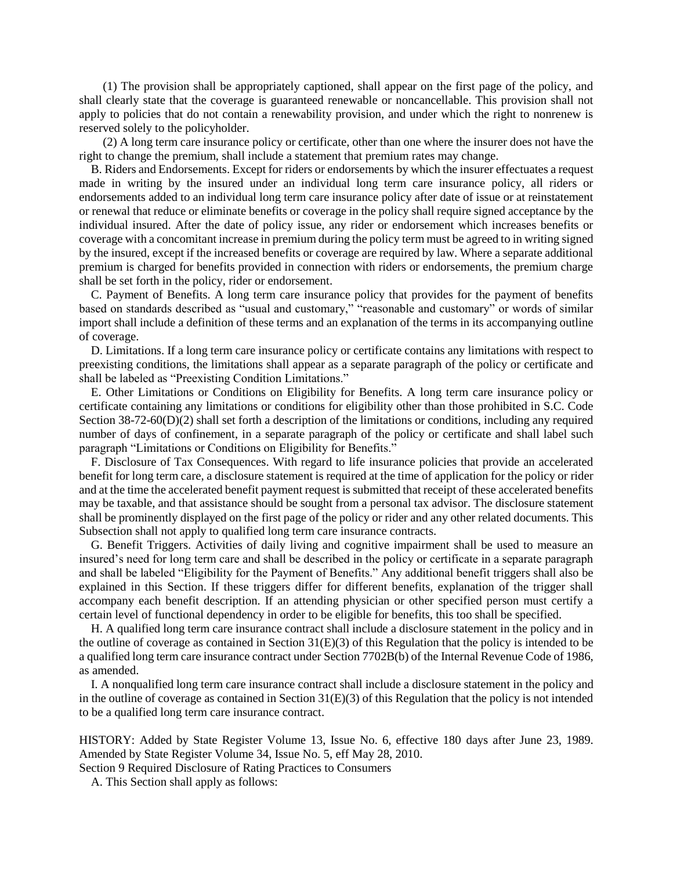(1) The provision shall be appropriately captioned, shall appear on the first page of the policy, and shall clearly state that the coverage is guaranteed renewable or noncancellable. This provision shall not apply to policies that do not contain a renewability provision, and under which the right to nonrenew is reserved solely to the policyholder.

(2) A long term care insurance policy or certificate, other than one where the insurer does not have the right to change the premium, shall include a statement that premium rates may change.

B. Riders and Endorsements. Except for riders or endorsements by which the insurer effectuates a request made in writing by the insured under an individual long term care insurance policy, all riders or endorsements added to an individual long term care insurance policy after date of issue or at reinstatement or renewal that reduce or eliminate benefits or coverage in the policy shall require signed acceptance by the individual insured. After the date of policy issue, any rider or endorsement which increases benefits or coverage with a concomitant increase in premium during the policy term must be agreed to in writing signed by the insured, except if the increased benefits or coverage are required by law. Where a separate additional premium is charged for benefits provided in connection with riders or endorsements, the premium charge shall be set forth in the policy, rider or endorsement.

C. Payment of Benefits. A long term care insurance policy that provides for the payment of benefits based on standards described as "usual and customary," "reasonable and customary" or words of similar import shall include a definition of these terms and an explanation of the terms in its accompanying outline of coverage.

D. Limitations. If a long term care insurance policy or certificate contains any limitations with respect to preexisting conditions, the limitations shall appear as a separate paragraph of the policy or certificate and shall be labeled as "Preexisting Condition Limitations."

E. Other Limitations or Conditions on Eligibility for Benefits. A long term care insurance policy or certificate containing any limitations or conditions for eligibility other than those prohibited in S.C. Code Section 38-72-60(D)(2) shall set forth a description of the limitations or conditions, including any required number of days of confinement, in a separate paragraph of the policy or certificate and shall label such paragraph "Limitations or Conditions on Eligibility for Benefits."

F. Disclosure of Tax Consequences. With regard to life insurance policies that provide an accelerated benefit for long term care, a disclosure statement is required at the time of application for the policy or rider and at the time the accelerated benefit payment request is submitted that receipt of these accelerated benefits may be taxable, and that assistance should be sought from a personal tax advisor. The disclosure statement shall be prominently displayed on the first page of the policy or rider and any other related documents. This Subsection shall not apply to qualified long term care insurance contracts.

G. Benefit Triggers. Activities of daily living and cognitive impairment shall be used to measure an insured's need for long term care and shall be described in the policy or certificate in a separate paragraph and shall be labeled "Eligibility for the Payment of Benefits." Any additional benefit triggers shall also be explained in this Section. If these triggers differ for different benefits, explanation of the trigger shall accompany each benefit description. If an attending physician or other specified person must certify a certain level of functional dependency in order to be eligible for benefits, this too shall be specified.

H. A qualified long term care insurance contract shall include a disclosure statement in the policy and in the outline of coverage as contained in Section  $31(E)(3)$  of this Regulation that the policy is intended to be a qualified long term care insurance contract under Section 7702B(b) of the Internal Revenue Code of 1986, as amended.

I. A nonqualified long term care insurance contract shall include a disclosure statement in the policy and in the outline of coverage as contained in Section 31(E)(3) of this Regulation that the policy is not intended to be a qualified long term care insurance contract.

HISTORY: Added by State Register Volume 13, Issue No. 6, effective 180 days after June 23, 1989. Amended by State Register Volume 34, Issue No. 5, eff May 28, 2010.

Section 9 Required Disclosure of Rating Practices to Consumers

A. This Section shall apply as follows: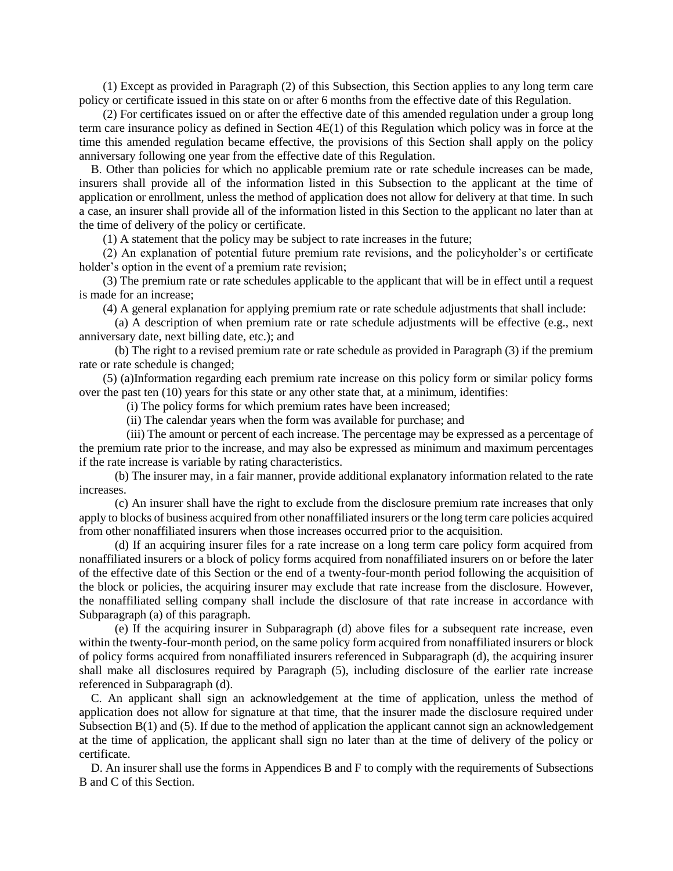(1) Except as provided in Paragraph (2) of this Subsection, this Section applies to any long term care policy or certificate issued in this state on or after 6 months from the effective date of this Regulation.

(2) For certificates issued on or after the effective date of this amended regulation under a group long term care insurance policy as defined in Section 4E(1) of this Regulation which policy was in force at the time this amended regulation became effective, the provisions of this Section shall apply on the policy anniversary following one year from the effective date of this Regulation.

B. Other than policies for which no applicable premium rate or rate schedule increases can be made, insurers shall provide all of the information listed in this Subsection to the applicant at the time of application or enrollment, unless the method of application does not allow for delivery at that time. In such a case, an insurer shall provide all of the information listed in this Section to the applicant no later than at the time of delivery of the policy or certificate.

(1) A statement that the policy may be subject to rate increases in the future;

(2) An explanation of potential future premium rate revisions, and the policyholder's or certificate holder's option in the event of a premium rate revision;

(3) The premium rate or rate schedules applicable to the applicant that will be in effect until a request is made for an increase;

(4) A general explanation for applying premium rate or rate schedule adjustments that shall include:

(a) A description of when premium rate or rate schedule adjustments will be effective (e.g., next anniversary date, next billing date, etc.); and

(b) The right to a revised premium rate or rate schedule as provided in Paragraph (3) if the premium rate or rate schedule is changed;

(5) (a)Information regarding each premium rate increase on this policy form or similar policy forms over the past ten (10) years for this state or any other state that, at a minimum, identifies:

(i) The policy forms for which premium rates have been increased;

(ii) The calendar years when the form was available for purchase; and

(iii) The amount or percent of each increase. The percentage may be expressed as a percentage of the premium rate prior to the increase, and may also be expressed as minimum and maximum percentages if the rate increase is variable by rating characteristics.

(b) The insurer may, in a fair manner, provide additional explanatory information related to the rate increases.

(c) An insurer shall have the right to exclude from the disclosure premium rate increases that only apply to blocks of business acquired from other nonaffiliated insurers or the long term care policies acquired from other nonaffiliated insurers when those increases occurred prior to the acquisition.

(d) If an acquiring insurer files for a rate increase on a long term care policy form acquired from nonaffiliated insurers or a block of policy forms acquired from nonaffiliated insurers on or before the later of the effective date of this Section or the end of a twenty-four-month period following the acquisition of the block or policies, the acquiring insurer may exclude that rate increase from the disclosure. However, the nonaffiliated selling company shall include the disclosure of that rate increase in accordance with Subparagraph (a) of this paragraph.

(e) If the acquiring insurer in Subparagraph (d) above files for a subsequent rate increase, even within the twenty-four-month period, on the same policy form acquired from nonaffiliated insurers or block of policy forms acquired from nonaffiliated insurers referenced in Subparagraph (d), the acquiring insurer shall make all disclosures required by Paragraph (5), including disclosure of the earlier rate increase referenced in Subparagraph (d).

C. An applicant shall sign an acknowledgement at the time of application, unless the method of application does not allow for signature at that time, that the insurer made the disclosure required under Subsection  $B(1)$  and (5). If due to the method of application the applicant cannot sign an acknowledgement at the time of application, the applicant shall sign no later than at the time of delivery of the policy or certificate.

D. An insurer shall use the forms in Appendices B and F to comply with the requirements of Subsections B and C of this Section.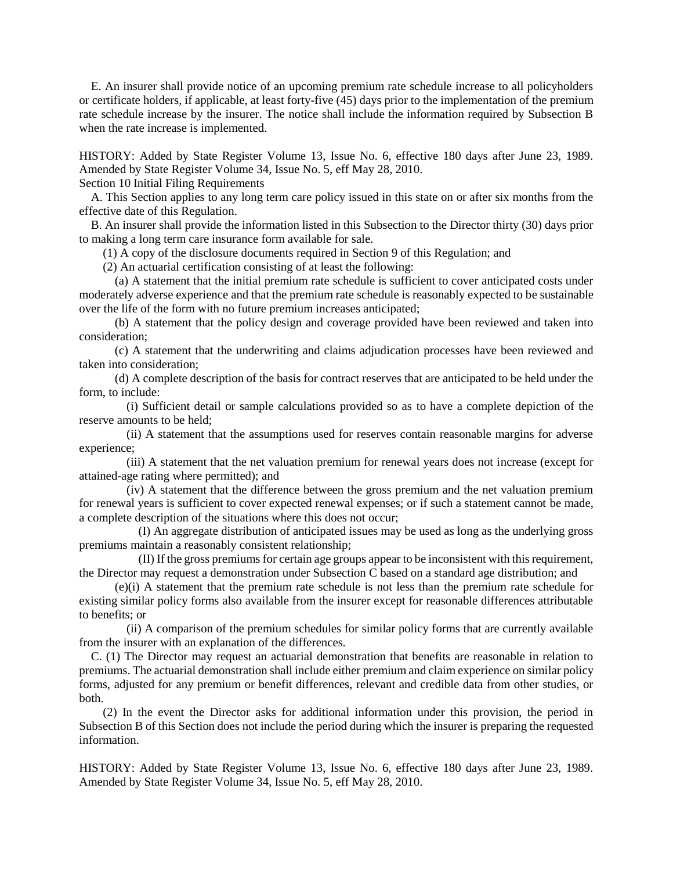E. An insurer shall provide notice of an upcoming premium rate schedule increase to all policyholders or certificate holders, if applicable, at least forty-five (45) days prior to the implementation of the premium rate schedule increase by the insurer. The notice shall include the information required by Subsection B when the rate increase is implemented.

HISTORY: Added by State Register Volume 13, Issue No. 6, effective 180 days after June 23, 1989. Amended by State Register Volume 34, Issue No. 5, eff May 28, 2010.

Section 10 Initial Filing Requirements

A. This Section applies to any long term care policy issued in this state on or after six months from the effective date of this Regulation.

B. An insurer shall provide the information listed in this Subsection to the Director thirty (30) days prior to making a long term care insurance form available for sale.

(1) A copy of the disclosure documents required in Section 9 of this Regulation; and

(2) An actuarial certification consisting of at least the following:

(a) A statement that the initial premium rate schedule is sufficient to cover anticipated costs under moderately adverse experience and that the premium rate schedule is reasonably expected to be sustainable over the life of the form with no future premium increases anticipated;

(b) A statement that the policy design and coverage provided have been reviewed and taken into consideration;

(c) A statement that the underwriting and claims adjudication processes have been reviewed and taken into consideration;

(d) A complete description of the basis for contract reserves that are anticipated to be held under the form, to include:

(i) Sufficient detail or sample calculations provided so as to have a complete depiction of the reserve amounts to be held;

(ii) A statement that the assumptions used for reserves contain reasonable margins for adverse experience;

(iii) A statement that the net valuation premium for renewal years does not increase (except for attained-age rating where permitted); and

(iv) A statement that the difference between the gross premium and the net valuation premium for renewal years is sufficient to cover expected renewal expenses; or if such a statement cannot be made, a complete description of the situations where this does not occur;

(I) An aggregate distribution of anticipated issues may be used as long as the underlying gross premiums maintain a reasonably consistent relationship;

(II) If the gross premiums for certain age groups appear to be inconsistent with this requirement, the Director may request a demonstration under Subsection C based on a standard age distribution; and

(e)(i) A statement that the premium rate schedule is not less than the premium rate schedule for existing similar policy forms also available from the insurer except for reasonable differences attributable to benefits; or

(ii) A comparison of the premium schedules for similar policy forms that are currently available from the insurer with an explanation of the differences.

C. (1) The Director may request an actuarial demonstration that benefits are reasonable in relation to premiums. The actuarial demonstration shall include either premium and claim experience on similar policy forms, adjusted for any premium or benefit differences, relevant and credible data from other studies, or both.

(2) In the event the Director asks for additional information under this provision, the period in Subsection B of this Section does not include the period during which the insurer is preparing the requested information.

HISTORY: Added by State Register Volume 13, Issue No. 6, effective 180 days after June 23, 1989. Amended by State Register Volume 34, Issue No. 5, eff May 28, 2010.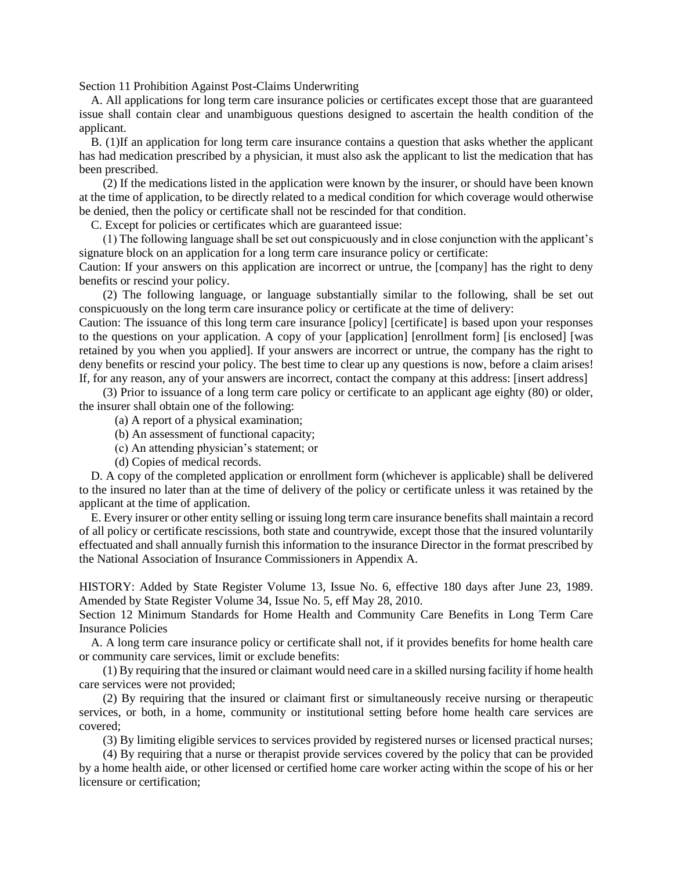Section 11 Prohibition Against Post-Claims Underwriting

A. All applications for long term care insurance policies or certificates except those that are guaranteed issue shall contain clear and unambiguous questions designed to ascertain the health condition of the applicant.

B. (1)If an application for long term care insurance contains a question that asks whether the applicant has had medication prescribed by a physician, it must also ask the applicant to list the medication that has been prescribed.

(2) If the medications listed in the application were known by the insurer, or should have been known at the time of application, to be directly related to a medical condition for which coverage would otherwise be denied, then the policy or certificate shall not be rescinded for that condition.

C. Except for policies or certificates which are guaranteed issue:

(1) The following language shall be set out conspicuously and in close conjunction with the applicant's signature block on an application for a long term care insurance policy or certificate:

Caution: If your answers on this application are incorrect or untrue, the [company] has the right to deny benefits or rescind your policy.

(2) The following language, or language substantially similar to the following, shall be set out conspicuously on the long term care insurance policy or certificate at the time of delivery:

Caution: The issuance of this long term care insurance [policy] [certificate] is based upon your responses to the questions on your application. A copy of your [application] [enrollment form] [is enclosed] [was retained by you when you applied]. If your answers are incorrect or untrue, the company has the right to deny benefits or rescind your policy. The best time to clear up any questions is now, before a claim arises! If, for any reason, any of your answers are incorrect, contact the company at this address: [insert address]

(3) Prior to issuance of a long term care policy or certificate to an applicant age eighty (80) or older, the insurer shall obtain one of the following:

(a) A report of a physical examination;

(b) An assessment of functional capacity;

(c) An attending physician's statement; or

(d) Copies of medical records.

D. A copy of the completed application or enrollment form (whichever is applicable) shall be delivered to the insured no later than at the time of delivery of the policy or certificate unless it was retained by the applicant at the time of application.

E. Every insurer or other entity selling or issuing long term care insurance benefits shall maintain a record of all policy or certificate rescissions, both state and countrywide, except those that the insured voluntarily effectuated and shall annually furnish this information to the insurance Director in the format prescribed by the National Association of Insurance Commissioners in Appendix A.

HISTORY: Added by State Register Volume 13, Issue No. 6, effective 180 days after June 23, 1989. Amended by State Register Volume 34, Issue No. 5, eff May 28, 2010.

Section 12 Minimum Standards for Home Health and Community Care Benefits in Long Term Care Insurance Policies

A. A long term care insurance policy or certificate shall not, if it provides benefits for home health care or community care services, limit or exclude benefits:

(1) By requiring that the insured or claimant would need care in a skilled nursing facility if home health care services were not provided;

(2) By requiring that the insured or claimant first or simultaneously receive nursing or therapeutic services, or both, in a home, community or institutional setting before home health care services are covered;

(3) By limiting eligible services to services provided by registered nurses or licensed practical nurses;

(4) By requiring that a nurse or therapist provide services covered by the policy that can be provided by a home health aide, or other licensed or certified home care worker acting within the scope of his or her licensure or certification;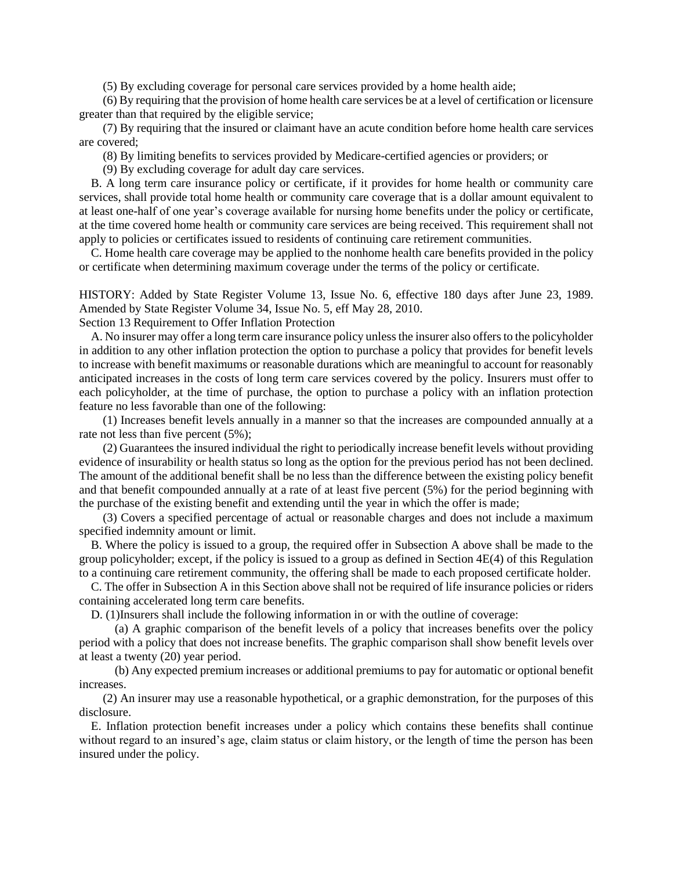(5) By excluding coverage for personal care services provided by a home health aide;

(6) By requiring that the provision of home health care services be at a level of certification or licensure greater than that required by the eligible service;

(7) By requiring that the insured or claimant have an acute condition before home health care services are covered;

(8) By limiting benefits to services provided by Medicare-certified agencies or providers; or

(9) By excluding coverage for adult day care services.

B. A long term care insurance policy or certificate, if it provides for home health or community care services, shall provide total home health or community care coverage that is a dollar amount equivalent to at least one-half of one year's coverage available for nursing home benefits under the policy or certificate, at the time covered home health or community care services are being received. This requirement shall not apply to policies or certificates issued to residents of continuing care retirement communities.

C. Home health care coverage may be applied to the nonhome health care benefits provided in the policy or certificate when determining maximum coverage under the terms of the policy or certificate.

HISTORY: Added by State Register Volume 13, Issue No. 6, effective 180 days after June 23, 1989. Amended by State Register Volume 34, Issue No. 5, eff May 28, 2010.

Section 13 Requirement to Offer Inflation Protection

A. No insurer may offer a long term care insurance policy unless the insurer also offers to the policyholder in addition to any other inflation protection the option to purchase a policy that provides for benefit levels to increase with benefit maximums or reasonable durations which are meaningful to account for reasonably anticipated increases in the costs of long term care services covered by the policy. Insurers must offer to each policyholder, at the time of purchase, the option to purchase a policy with an inflation protection feature no less favorable than one of the following:

(1) Increases benefit levels annually in a manner so that the increases are compounded annually at a rate not less than five percent (5%);

(2) Guarantees the insured individual the right to periodically increase benefit levels without providing evidence of insurability or health status so long as the option for the previous period has not been declined. The amount of the additional benefit shall be no less than the difference between the existing policy benefit and that benefit compounded annually at a rate of at least five percent (5%) for the period beginning with the purchase of the existing benefit and extending until the year in which the offer is made;

(3) Covers a specified percentage of actual or reasonable charges and does not include a maximum specified indemnity amount or limit.

B. Where the policy is issued to a group, the required offer in Subsection A above shall be made to the group policyholder; except, if the policy is issued to a group as defined in Section 4E(4) of this Regulation to a continuing care retirement community, the offering shall be made to each proposed certificate holder.

C. The offer in Subsection A in this Section above shall not be required of life insurance policies or riders containing accelerated long term care benefits.

D. (1)Insurers shall include the following information in or with the outline of coverage:

(a) A graphic comparison of the benefit levels of a policy that increases benefits over the policy period with a policy that does not increase benefits. The graphic comparison shall show benefit levels over at least a twenty (20) year period.

(b) Any expected premium increases or additional premiums to pay for automatic or optional benefit increases.

(2) An insurer may use a reasonable hypothetical, or a graphic demonstration, for the purposes of this disclosure.

E. Inflation protection benefit increases under a policy which contains these benefits shall continue without regard to an insured's age, claim status or claim history, or the length of time the person has been insured under the policy.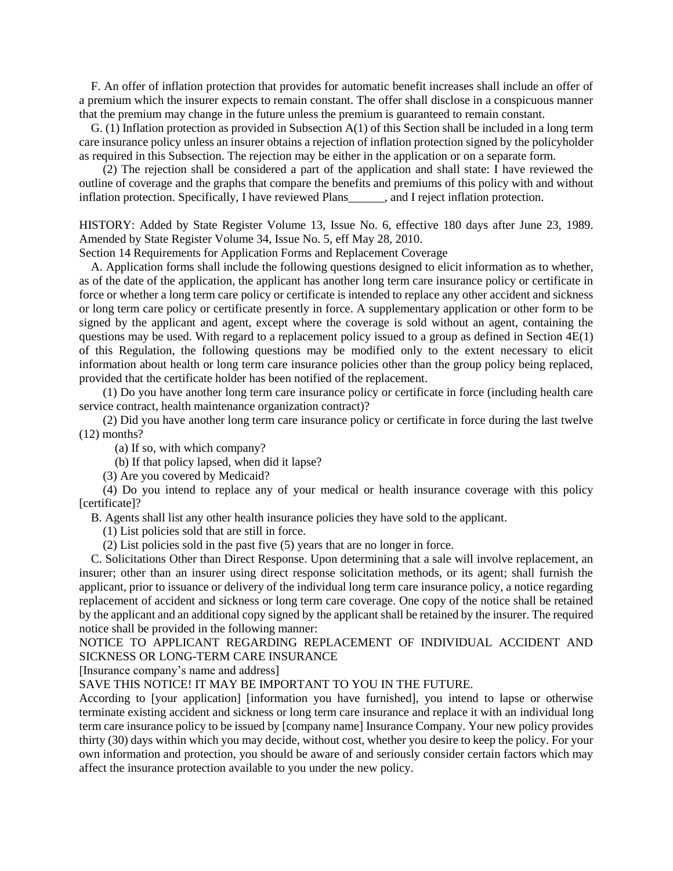F. An offer of inflation protection that provides for automatic benefit increases shall include an offer of a premium which the insurer expects to remain constant. The offer shall disclose in a conspicuous manner that the premium may change in the future unless the premium is guaranteed to remain constant.

G. (1) Inflation protection as provided in Subsection A(1) of this Section shall be included in a long term care insurance policy unless an insurer obtains a rejection of inflation protection signed by the policyholder as required in this Subsection. The rejection may be either in the application or on a separate form.

(2) The rejection shall be considered a part of the application and shall state: I have reviewed the outline of coverage and the graphs that compare the benefits and premiums of this policy with and without inflation protection. Specifically, I have reviewed Plans\_\_\_\_\_\_, and I reject inflation protection.

HISTORY: Added by State Register Volume 13, Issue No. 6, effective 180 days after June 23, 1989. Amended by State Register Volume 34, Issue No. 5, eff May 28, 2010.

Section 14 Requirements for Application Forms and Replacement Coverage

A. Application forms shall include the following questions designed to elicit information as to whether, as of the date of the application, the applicant has another long term care insurance policy or certificate in force or whether a long term care policy or certificate is intended to replace any other accident and sickness or long term care policy or certificate presently in force. A supplementary application or other form to be signed by the applicant and agent, except where the coverage is sold without an agent, containing the questions may be used. With regard to a replacement policy issued to a group as defined in Section  $4E(1)$ of this Regulation, the following questions may be modified only to the extent necessary to elicit information about health or long term care insurance policies other than the group policy being replaced, provided that the certificate holder has been notified of the replacement.

(1) Do you have another long term care insurance policy or certificate in force (including health care service contract, health maintenance organization contract)?

(2) Did you have another long term care insurance policy or certificate in force during the last twelve (12) months?

(a) If so, with which company?

(b) If that policy lapsed, when did it lapse?

(3) Are you covered by Medicaid?

(4) Do you intend to replace any of your medical or health insurance coverage with this policy [certificate]?

B. Agents shall list any other health insurance policies they have sold to the applicant.

(1) List policies sold that are still in force.

(2) List policies sold in the past five (5) years that are no longer in force.

C. Solicitations Other than Direct Response. Upon determining that a sale will involve replacement, an insurer; other than an insurer using direct response solicitation methods, or its agent; shall furnish the applicant, prior to issuance or delivery of the individual long term care insurance policy, a notice regarding replacement of accident and sickness or long term care coverage. One copy of the notice shall be retained by the applicant and an additional copy signed by the applicant shall be retained by the insurer. The required notice shall be provided in the following manner:

NOTICE TO APPLICANT REGARDING REPLACEMENT OF INDIVIDUAL ACCIDENT AND SICKNESS OR LONG-TERM CARE INSURANCE

[Insurance company's name and address]

## SAVE THIS NOTICE! IT MAY BE IMPORTANT TO YOU IN THE FUTURE.

According to [your application] [information you have furnished], you intend to lapse or otherwise terminate existing accident and sickness or long term care insurance and replace it with an individual long term care insurance policy to be issued by [company name] Insurance Company. Your new policy provides thirty (30) days within which you may decide, without cost, whether you desire to keep the policy. For your own information and protection, you should be aware of and seriously consider certain factors which may affect the insurance protection available to you under the new policy.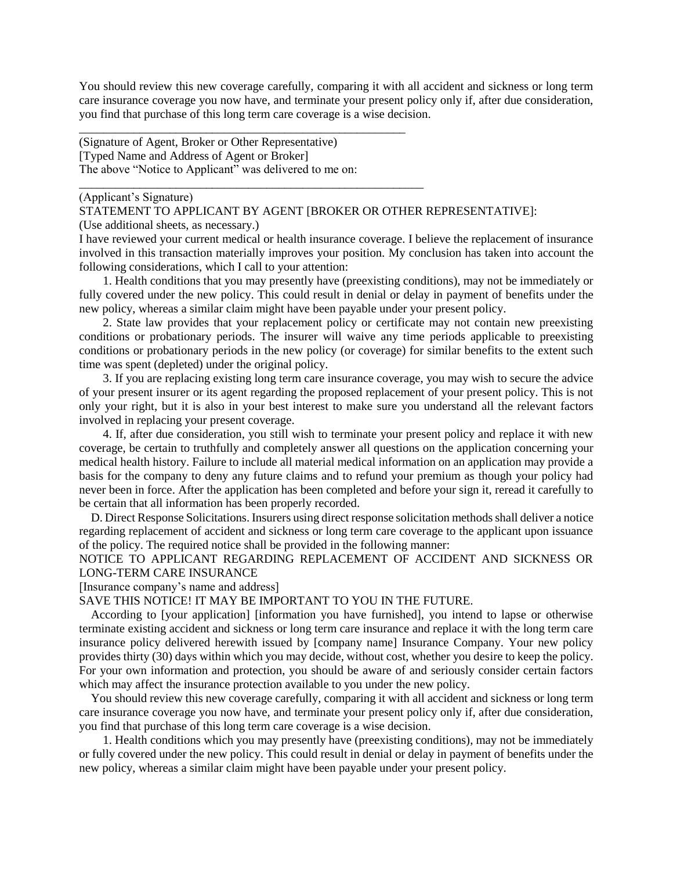You should review this new coverage carefully, comparing it with all accident and sickness or long term care insurance coverage you now have, and terminate your present policy only if, after due consideration, you find that purchase of this long term care coverage is a wise decision.

(Signature of Agent, Broker or Other Representative) [Typed Name and Address of Agent or Broker] The above "Notice to Applicant" was delivered to me on:

\_\_\_\_\_\_\_\_\_\_\_\_\_\_\_\_\_\_\_\_\_\_\_\_\_\_\_\_\_\_\_\_\_\_\_\_\_\_\_\_\_\_\_\_\_\_\_\_\_\_\_\_\_\_

\_\_\_\_\_\_\_\_\_\_\_\_\_\_\_\_\_\_\_\_\_\_\_\_\_\_\_\_\_\_\_\_\_\_\_\_\_\_\_\_\_\_\_\_\_\_\_\_\_\_\_\_\_\_\_\_\_

## (Applicant's Signature)

STATEMENT TO APPLICANT BY AGENT [BROKER OR OTHER REPRESENTATIVE]:

(Use additional sheets, as necessary.)

I have reviewed your current medical or health insurance coverage. I believe the replacement of insurance involved in this transaction materially improves your position. My conclusion has taken into account the following considerations, which I call to your attention:

1. Health conditions that you may presently have (preexisting conditions), may not be immediately or fully covered under the new policy. This could result in denial or delay in payment of benefits under the new policy, whereas a similar claim might have been payable under your present policy.

2. State law provides that your replacement policy or certificate may not contain new preexisting conditions or probationary periods. The insurer will waive any time periods applicable to preexisting conditions or probationary periods in the new policy (or coverage) for similar benefits to the extent such time was spent (depleted) under the original policy.

3. If you are replacing existing long term care insurance coverage, you may wish to secure the advice of your present insurer or its agent regarding the proposed replacement of your present policy. This is not only your right, but it is also in your best interest to make sure you understand all the relevant factors involved in replacing your present coverage.

4. If, after due consideration, you still wish to terminate your present policy and replace it with new coverage, be certain to truthfully and completely answer all questions on the application concerning your medical health history. Failure to include all material medical information on an application may provide a basis for the company to deny any future claims and to refund your premium as though your policy had never been in force. After the application has been completed and before your sign it, reread it carefully to be certain that all information has been properly recorded.

D. Direct Response Solicitations. Insurers using direct response solicitation methods shall deliver a notice regarding replacement of accident and sickness or long term care coverage to the applicant upon issuance of the policy. The required notice shall be provided in the following manner:

## NOTICE TO APPLICANT REGARDING REPLACEMENT OF ACCIDENT AND SICKNESS OR LONG-TERM CARE INSURANCE

[Insurance company's name and address]

### SAVE THIS NOTICE! IT MAY BE IMPORTANT TO YOU IN THE FUTURE.

According to [your application] [information you have furnished], you intend to lapse or otherwise terminate existing accident and sickness or long term care insurance and replace it with the long term care insurance policy delivered herewith issued by [company name] Insurance Company. Your new policy provides thirty (30) days within which you may decide, without cost, whether you desire to keep the policy. For your own information and protection, you should be aware of and seriously consider certain factors which may affect the insurance protection available to you under the new policy.

You should review this new coverage carefully, comparing it with all accident and sickness or long term care insurance coverage you now have, and terminate your present policy only if, after due consideration, you find that purchase of this long term care coverage is a wise decision.

1. Health conditions which you may presently have (preexisting conditions), may not be immediately or fully covered under the new policy. This could result in denial or delay in payment of benefits under the new policy, whereas a similar claim might have been payable under your present policy.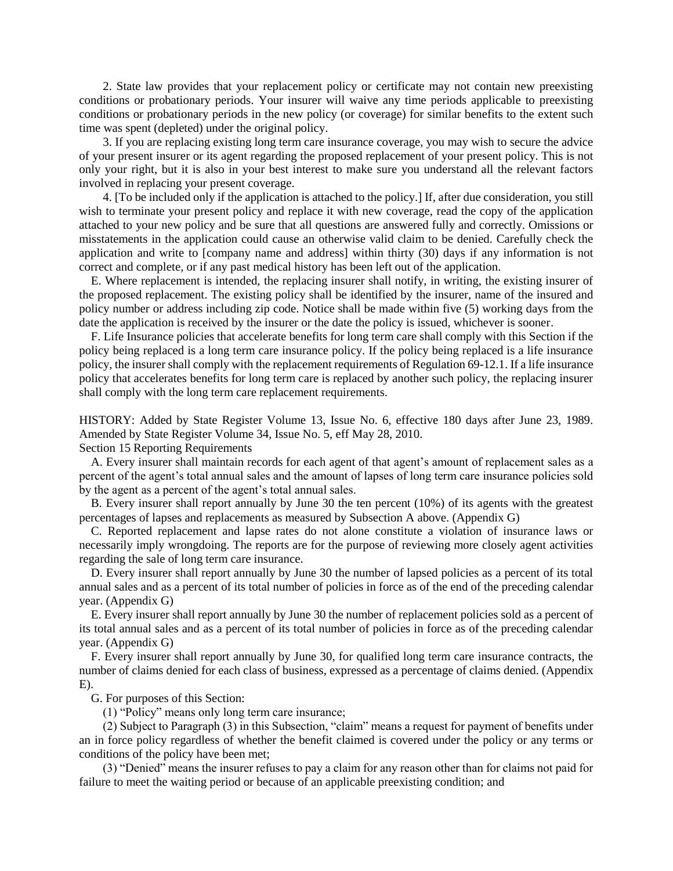2. State law provides that your replacement policy or certificate may not contain new preexisting conditions or probationary periods. Your insurer will waive any time periods applicable to preexisting conditions or probationary periods in the new policy (or coverage) for similar benefits to the extent such time was spent (depleted) under the original policy.

3. If you are replacing existing long term care insurance coverage, you may wish to secure the advice of your present insurer or its agent regarding the proposed replacement of your present policy. This is not only your right, but it is also in your best interest to make sure you understand all the relevant factors involved in replacing your present coverage.

4. [To be included only if the application is attached to the policy.] If, after due consideration, you still wish to terminate your present policy and replace it with new coverage, read the copy of the application attached to your new policy and be sure that all questions are answered fully and correctly. Omissions or misstatements in the application could cause an otherwise valid claim to be denied. Carefully check the application and write to [company name and address] within thirty (30) days if any information is not correct and complete, or if any past medical history has been left out of the application.

E. Where replacement is intended, the replacing insurer shall notify, in writing, the existing insurer of the proposed replacement. The existing policy shall be identified by the insurer, name of the insured and policy number or address including zip code. Notice shall be made within five (5) working days from the date the application is received by the insurer or the date the policy is issued, whichever is sooner.

F. Life Insurance policies that accelerate benefits for long term care shall comply with this Section if the policy being replaced is a long term care insurance policy. If the policy being replaced is a life insurance policy, the insurer shall comply with the replacement requirements of Regulation 69-12.1. If a life insurance policy that accelerates benefits for long term care is replaced by another such policy, the replacing insurer shall comply with the long term care replacement requirements.

HISTORY: Added by State Register Volume 13, Issue No. 6, effective 180 days after June 23, 1989. Amended by State Register Volume 34, Issue No. 5, eff May 28, 2010.

Section 15 Reporting Requirements

A. Every insurer shall maintain records for each agent of that agent's amount of replacement sales as a percent of the agent's total annual sales and the amount of lapses of long term care insurance policies sold by the agent as a percent of the agent's total annual sales.

B. Every insurer shall report annually by June 30 the ten percent (10%) of its agents with the greatest percentages of lapses and replacements as measured by Subsection A above. (Appendix G)

C. Reported replacement and lapse rates do not alone constitute a violation of insurance laws or necessarily imply wrongdoing. The reports are for the purpose of reviewing more closely agent activities regarding the sale of long term care insurance.

D. Every insurer shall report annually by June 30 the number of lapsed policies as a percent of its total annual sales and as a percent of its total number of policies in force as of the end of the preceding calendar year. (Appendix G)

E. Every insurer shall report annually by June 30 the number of replacement policies sold as a percent of its total annual sales and as a percent of its total number of policies in force as of the preceding calendar year. (Appendix G)

F. Every insurer shall report annually by June 30, for qualified long term care insurance contracts, the number of claims denied for each class of business, expressed as a percentage of claims denied. (Appendix E).

G. For purposes of this Section:

(1) "Policy" means only long term care insurance;

(2) Subject to Paragraph (3) in this Subsection, "claim" means a request for payment of benefits under an in force policy regardless of whether the benefit claimed is covered under the policy or any terms or conditions of the policy have been met;

(3) "Denied" means the insurer refuses to pay a claim for any reason other than for claims not paid for failure to meet the waiting period or because of an applicable preexisting condition; and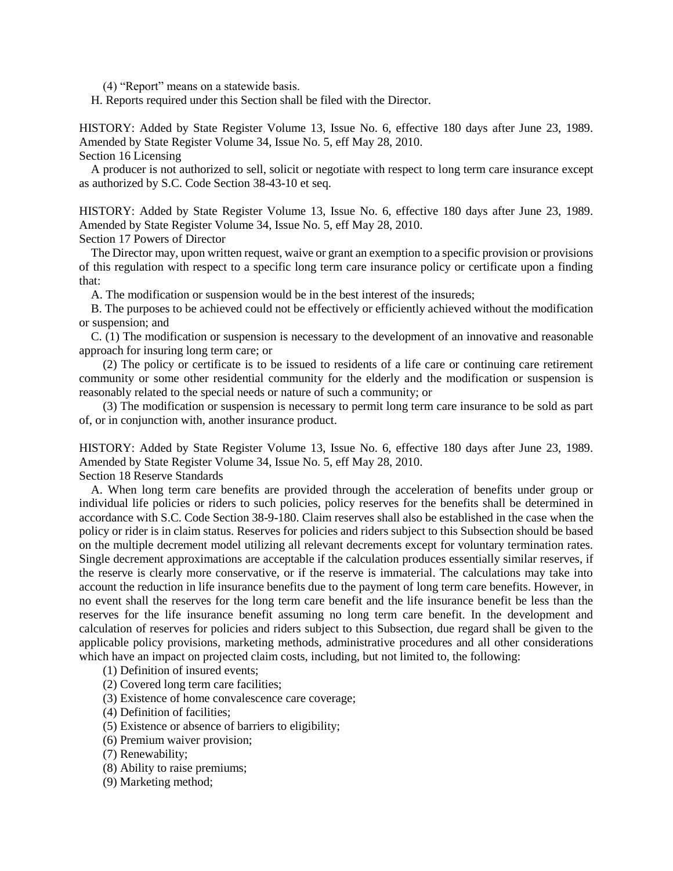(4) "Report" means on a statewide basis.

H. Reports required under this Section shall be filed with the Director.

HISTORY: Added by State Register Volume 13, Issue No. 6, effective 180 days after June 23, 1989. Amended by State Register Volume 34, Issue No. 5, eff May 28, 2010. Section 16 Licensing

A producer is not authorized to sell, solicit or negotiate with respect to long term care insurance except as authorized by S.C. Code Section 38-43-10 et seq.

HISTORY: Added by State Register Volume 13, Issue No. 6, effective 180 days after June 23, 1989. Amended by State Register Volume 34, Issue No. 5, eff May 28, 2010. Section 17 Powers of Director

The Director may, upon written request, waive or grant an exemption to a specific provision or provisions of this regulation with respect to a specific long term care insurance policy or certificate upon a finding that:

A. The modification or suspension would be in the best interest of the insureds;

B. The purposes to be achieved could not be effectively or efficiently achieved without the modification or suspension; and

C. (1) The modification or suspension is necessary to the development of an innovative and reasonable approach for insuring long term care; or

(2) The policy or certificate is to be issued to residents of a life care or continuing care retirement community or some other residential community for the elderly and the modification or suspension is reasonably related to the special needs or nature of such a community; or

(3) The modification or suspension is necessary to permit long term care insurance to be sold as part of, or in conjunction with, another insurance product.

HISTORY: Added by State Register Volume 13, Issue No. 6, effective 180 days after June 23, 1989. Amended by State Register Volume 34, Issue No. 5, eff May 28, 2010.

Section 18 Reserve Standards

A. When long term care benefits are provided through the acceleration of benefits under group or individual life policies or riders to such policies, policy reserves for the benefits shall be determined in accordance with S.C. Code Section 38-9-180. Claim reserves shall also be established in the case when the policy or rider is in claim status. Reserves for policies and riders subject to this Subsection should be based on the multiple decrement model utilizing all relevant decrements except for voluntary termination rates. Single decrement approximations are acceptable if the calculation produces essentially similar reserves, if the reserve is clearly more conservative, or if the reserve is immaterial. The calculations may take into account the reduction in life insurance benefits due to the payment of long term care benefits. However, in no event shall the reserves for the long term care benefit and the life insurance benefit be less than the reserves for the life insurance benefit assuming no long term care benefit. In the development and calculation of reserves for policies and riders subject to this Subsection, due regard shall be given to the applicable policy provisions, marketing methods, administrative procedures and all other considerations which have an impact on projected claim costs, including, but not limited to, the following:

(1) Definition of insured events;

(2) Covered long term care facilities;

(3) Existence of home convalescence care coverage;

(4) Definition of facilities;

(5) Existence or absence of barriers to eligibility;

- (6) Premium waiver provision;
- (7) Renewability;
- (8) Ability to raise premiums;
- (9) Marketing method;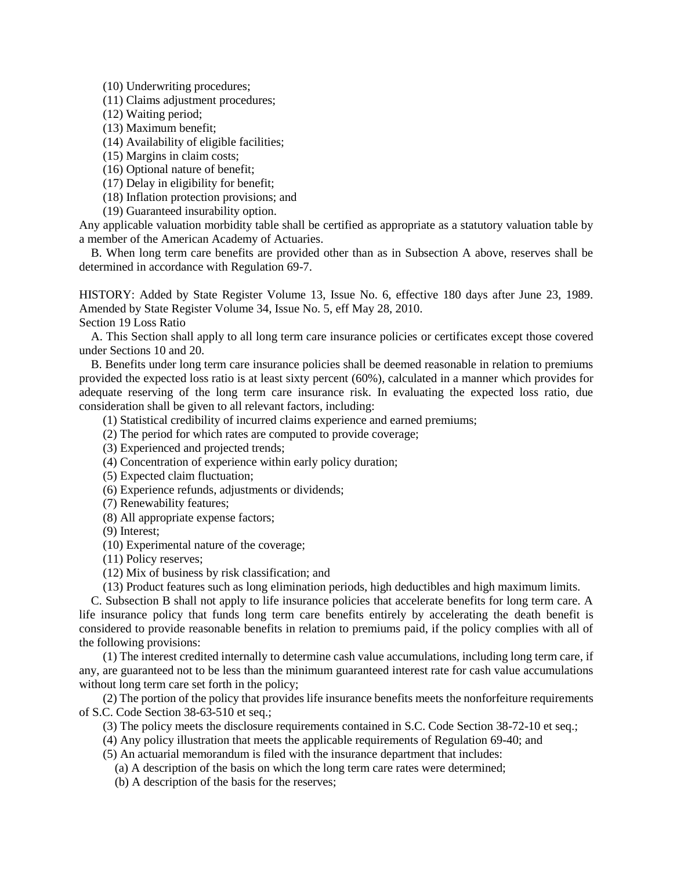(10) Underwriting procedures;

(11) Claims adjustment procedures;

- (12) Waiting period;
- (13) Maximum benefit;

(14) Availability of eligible facilities;

- (15) Margins in claim costs;
- (16) Optional nature of benefit;

(17) Delay in eligibility for benefit;

(18) Inflation protection provisions; and

(19) Guaranteed insurability option.

Any applicable valuation morbidity table shall be certified as appropriate as a statutory valuation table by a member of the American Academy of Actuaries.

B. When long term care benefits are provided other than as in Subsection A above, reserves shall be determined in accordance with Regulation 69-7.

HISTORY: Added by State Register Volume 13, Issue No. 6, effective 180 days after June 23, 1989. Amended by State Register Volume 34, Issue No. 5, eff May 28, 2010. Section 19 Loss Ratio

A. This Section shall apply to all long term care insurance policies or certificates except those covered under Sections 10 and 20.

B. Benefits under long term care insurance policies shall be deemed reasonable in relation to premiums provided the expected loss ratio is at least sixty percent (60%), calculated in a manner which provides for adequate reserving of the long term care insurance risk. In evaluating the expected loss ratio, due consideration shall be given to all relevant factors, including:

(1) Statistical credibility of incurred claims experience and earned premiums;

- (2) The period for which rates are computed to provide coverage;
- (3) Experienced and projected trends;
- (4) Concentration of experience within early policy duration;
- (5) Expected claim fluctuation;
- (6) Experience refunds, adjustments or dividends;
- (7) Renewability features;
- (8) All appropriate expense factors;
- (9) Interest;
- (10) Experimental nature of the coverage;
- (11) Policy reserves;
- (12) Mix of business by risk classification; and

(13) Product features such as long elimination periods, high deductibles and high maximum limits.

C. Subsection B shall not apply to life insurance policies that accelerate benefits for long term care. A life insurance policy that funds long term care benefits entirely by accelerating the death benefit is considered to provide reasonable benefits in relation to premiums paid, if the policy complies with all of the following provisions:

(1) The interest credited internally to determine cash value accumulations, including long term care, if any, are guaranteed not to be less than the minimum guaranteed interest rate for cash value accumulations without long term care set forth in the policy;

(2) The portion of the policy that provides life insurance benefits meets the nonforfeiture requirements of S.C. Code Section 38-63-510 et seq.;

(3) The policy meets the disclosure requirements contained in S.C. Code Section 38-72-10 et seq.;

(4) Any policy illustration that meets the applicable requirements of Regulation 69-40; and

(5) An actuarial memorandum is filed with the insurance department that includes:

(a) A description of the basis on which the long term care rates were determined;

(b) A description of the basis for the reserves;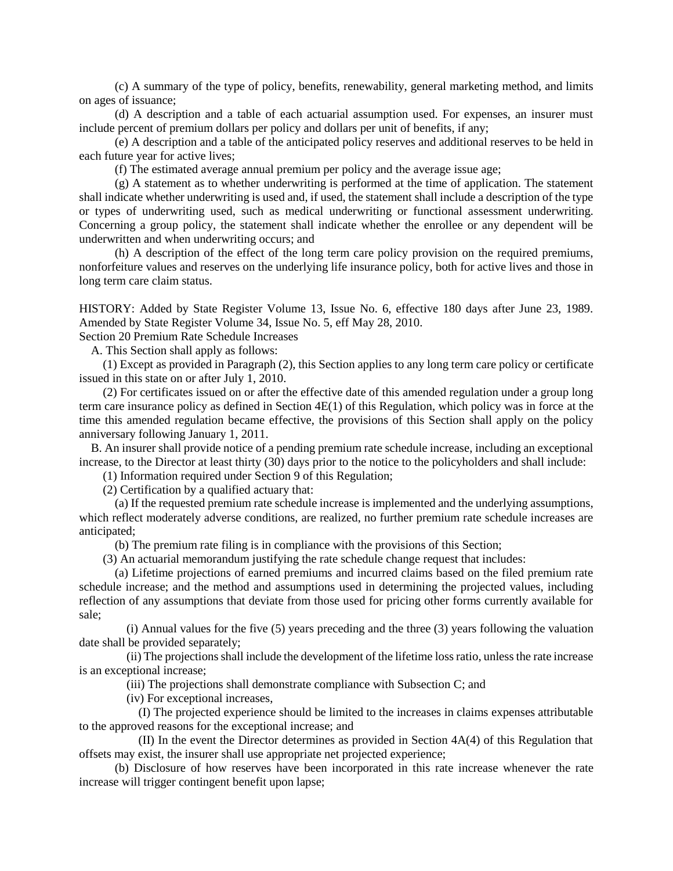(c) A summary of the type of policy, benefits, renewability, general marketing method, and limits on ages of issuance;

(d) A description and a table of each actuarial assumption used. For expenses, an insurer must include percent of premium dollars per policy and dollars per unit of benefits, if any;

(e) A description and a table of the anticipated policy reserves and additional reserves to be held in each future year for active lives;

(f) The estimated average annual premium per policy and the average issue age;

(g) A statement as to whether underwriting is performed at the time of application. The statement shall indicate whether underwriting is used and, if used, the statement shall include a description of the type or types of underwriting used, such as medical underwriting or functional assessment underwriting. Concerning a group policy, the statement shall indicate whether the enrollee or any dependent will be underwritten and when underwriting occurs; and

(h) A description of the effect of the long term care policy provision on the required premiums, nonforfeiture values and reserves on the underlying life insurance policy, both for active lives and those in long term care claim status.

HISTORY: Added by State Register Volume 13, Issue No. 6, effective 180 days after June 23, 1989. Amended by State Register Volume 34, Issue No. 5, eff May 28, 2010.

Section 20 Premium Rate Schedule Increases

A. This Section shall apply as follows:

(1) Except as provided in Paragraph (2), this Section applies to any long term care policy or certificate issued in this state on or after July 1, 2010.

(2) For certificates issued on or after the effective date of this amended regulation under a group long term care insurance policy as defined in Section 4E(1) of this Regulation, which policy was in force at the time this amended regulation became effective, the provisions of this Section shall apply on the policy anniversary following January 1, 2011.

B. An insurer shall provide notice of a pending premium rate schedule increase, including an exceptional increase, to the Director at least thirty (30) days prior to the notice to the policyholders and shall include:

(1) Information required under Section 9 of this Regulation;

(2) Certification by a qualified actuary that:

(a) If the requested premium rate schedule increase is implemented and the underlying assumptions, which reflect moderately adverse conditions, are realized, no further premium rate schedule increases are anticipated;

(b) The premium rate filing is in compliance with the provisions of this Section;

(3) An actuarial memorandum justifying the rate schedule change request that includes:

(a) Lifetime projections of earned premiums and incurred claims based on the filed premium rate schedule increase; and the method and assumptions used in determining the projected values, including reflection of any assumptions that deviate from those used for pricing other forms currently available for sale;

(i) Annual values for the five (5) years preceding and the three (3) years following the valuation date shall be provided separately;

(ii) The projections shall include the development of the lifetime loss ratio, unless the rate increase is an exceptional increase;

(iii) The projections shall demonstrate compliance with Subsection C; and

(iv) For exceptional increases,

(I) The projected experience should be limited to the increases in claims expenses attributable to the approved reasons for the exceptional increase; and

(II) In the event the Director determines as provided in Section 4A(4) of this Regulation that offsets may exist, the insurer shall use appropriate net projected experience;

(b) Disclosure of how reserves have been incorporated in this rate increase whenever the rate increase will trigger contingent benefit upon lapse;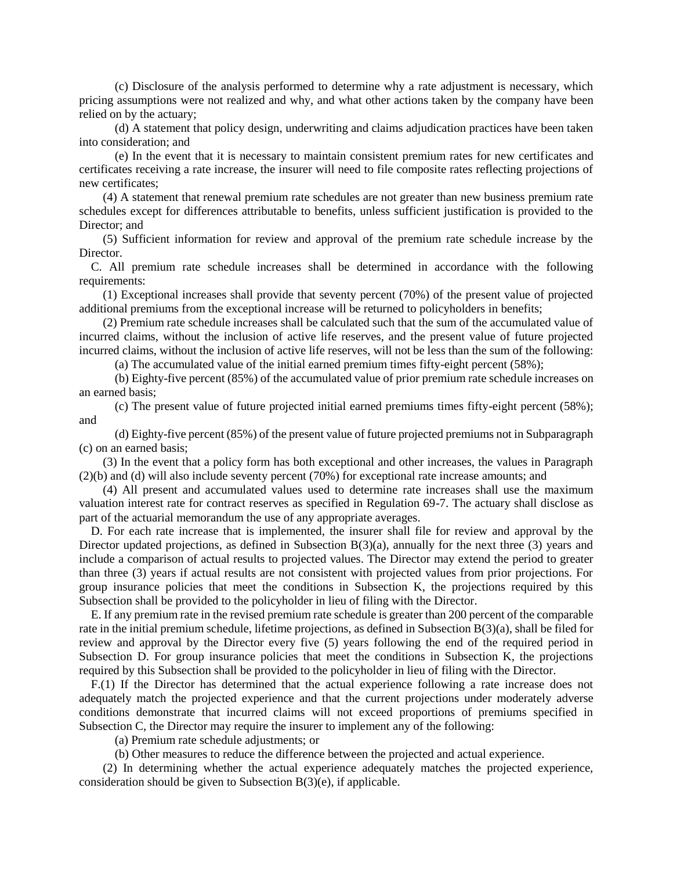(c) Disclosure of the analysis performed to determine why a rate adjustment is necessary, which pricing assumptions were not realized and why, and what other actions taken by the company have been relied on by the actuary;

(d) A statement that policy design, underwriting and claims adjudication practices have been taken into consideration; and

(e) In the event that it is necessary to maintain consistent premium rates for new certificates and certificates receiving a rate increase, the insurer will need to file composite rates reflecting projections of new certificates;

(4) A statement that renewal premium rate schedules are not greater than new business premium rate schedules except for differences attributable to benefits, unless sufficient justification is provided to the Director; and

(5) Sufficient information for review and approval of the premium rate schedule increase by the Director.

C. All premium rate schedule increases shall be determined in accordance with the following requirements:

(1) Exceptional increases shall provide that seventy percent (70%) of the present value of projected additional premiums from the exceptional increase will be returned to policyholders in benefits;

(2) Premium rate schedule increases shall be calculated such that the sum of the accumulated value of incurred claims, without the inclusion of active life reserves, and the present value of future projected incurred claims, without the inclusion of active life reserves, will not be less than the sum of the following:

(a) The accumulated value of the initial earned premium times fifty-eight percent (58%);

(b) Eighty-five percent (85%) of the accumulated value of prior premium rate schedule increases on an earned basis;

(c) The present value of future projected initial earned premiums times fifty-eight percent (58%); and

(d) Eighty-five percent (85%) of the present value of future projected premiums not in Subparagraph (c) on an earned basis;

(3) In the event that a policy form has both exceptional and other increases, the values in Paragraph (2)(b) and (d) will also include seventy percent (70%) for exceptional rate increase amounts; and

(4) All present and accumulated values used to determine rate increases shall use the maximum valuation interest rate for contract reserves as specified in Regulation 69-7. The actuary shall disclose as part of the actuarial memorandum the use of any appropriate averages.

D. For each rate increase that is implemented, the insurer shall file for review and approval by the Director updated projections, as defined in Subsection B(3)(a), annually for the next three (3) years and include a comparison of actual results to projected values. The Director may extend the period to greater than three (3) years if actual results are not consistent with projected values from prior projections. For group insurance policies that meet the conditions in Subsection K, the projections required by this Subsection shall be provided to the policyholder in lieu of filing with the Director.

E. If any premium rate in the revised premium rate schedule is greater than 200 percent of the comparable rate in the initial premium schedule, lifetime projections, as defined in Subsection B(3)(a), shall be filed for review and approval by the Director every five (5) years following the end of the required period in Subsection D. For group insurance policies that meet the conditions in Subsection K, the projections required by this Subsection shall be provided to the policyholder in lieu of filing with the Director.

F.(1) If the Director has determined that the actual experience following a rate increase does not adequately match the projected experience and that the current projections under moderately adverse conditions demonstrate that incurred claims will not exceed proportions of premiums specified in Subsection C, the Director may require the insurer to implement any of the following:

(a) Premium rate schedule adjustments; or

(b) Other measures to reduce the difference between the projected and actual experience.

(2) In determining whether the actual experience adequately matches the projected experience, consideration should be given to Subsection B(3)(e), if applicable.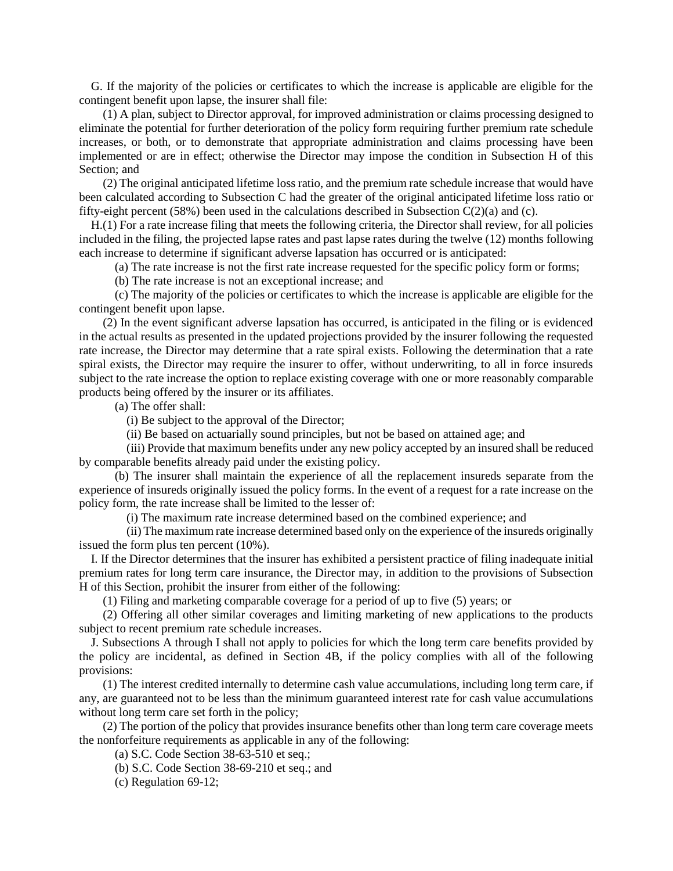G. If the majority of the policies or certificates to which the increase is applicable are eligible for the contingent benefit upon lapse, the insurer shall file:

(1) A plan, subject to Director approval, for improved administration or claims processing designed to eliminate the potential for further deterioration of the policy form requiring further premium rate schedule increases, or both, or to demonstrate that appropriate administration and claims processing have been implemented or are in effect; otherwise the Director may impose the condition in Subsection H of this Section; and

(2) The original anticipated lifetime loss ratio, and the premium rate schedule increase that would have been calculated according to Subsection C had the greater of the original anticipated lifetime loss ratio or fifty-eight percent (58%) been used in the calculations described in Subsection  $C(2)(a)$  and (c).

H.(1) For a rate increase filing that meets the following criteria, the Director shall review, for all policies included in the filing, the projected lapse rates and past lapse rates during the twelve (12) months following each increase to determine if significant adverse lapsation has occurred or is anticipated:

(a) The rate increase is not the first rate increase requested for the specific policy form or forms;

(b) The rate increase is not an exceptional increase; and

(c) The majority of the policies or certificates to which the increase is applicable are eligible for the contingent benefit upon lapse.

(2) In the event significant adverse lapsation has occurred, is anticipated in the filing or is evidenced in the actual results as presented in the updated projections provided by the insurer following the requested rate increase, the Director may determine that a rate spiral exists. Following the determination that a rate spiral exists, the Director may require the insurer to offer, without underwriting, to all in force insureds subject to the rate increase the option to replace existing coverage with one or more reasonably comparable products being offered by the insurer or its affiliates.

(a) The offer shall:

(i) Be subject to the approval of the Director;

(ii) Be based on actuarially sound principles, but not be based on attained age; and

(iii) Provide that maximum benefits under any new policy accepted by an insured shall be reduced by comparable benefits already paid under the existing policy.

(b) The insurer shall maintain the experience of all the replacement insureds separate from the experience of insureds originally issued the policy forms. In the event of a request for a rate increase on the policy form, the rate increase shall be limited to the lesser of:

(i) The maximum rate increase determined based on the combined experience; and

(ii) The maximum rate increase determined based only on the experience of the insureds originally issued the form plus ten percent (10%).

I. If the Director determines that the insurer has exhibited a persistent practice of filing inadequate initial premium rates for long term care insurance, the Director may, in addition to the provisions of Subsection H of this Section, prohibit the insurer from either of the following:

(1) Filing and marketing comparable coverage for a period of up to five (5) years; or

(2) Offering all other similar coverages and limiting marketing of new applications to the products subject to recent premium rate schedule increases.

J. Subsections A through I shall not apply to policies for which the long term care benefits provided by the policy are incidental, as defined in Section 4B, if the policy complies with all of the following provisions:

(1) The interest credited internally to determine cash value accumulations, including long term care, if any, are guaranteed not to be less than the minimum guaranteed interest rate for cash value accumulations without long term care set forth in the policy;

(2) The portion of the policy that provides insurance benefits other than long term care coverage meets the nonforfeiture requirements as applicable in any of the following:

(a) S.C. Code Section 38-63-510 et seq.;

(b) S.C. Code Section 38-69-210 et seq.; and

(c) Regulation 69-12;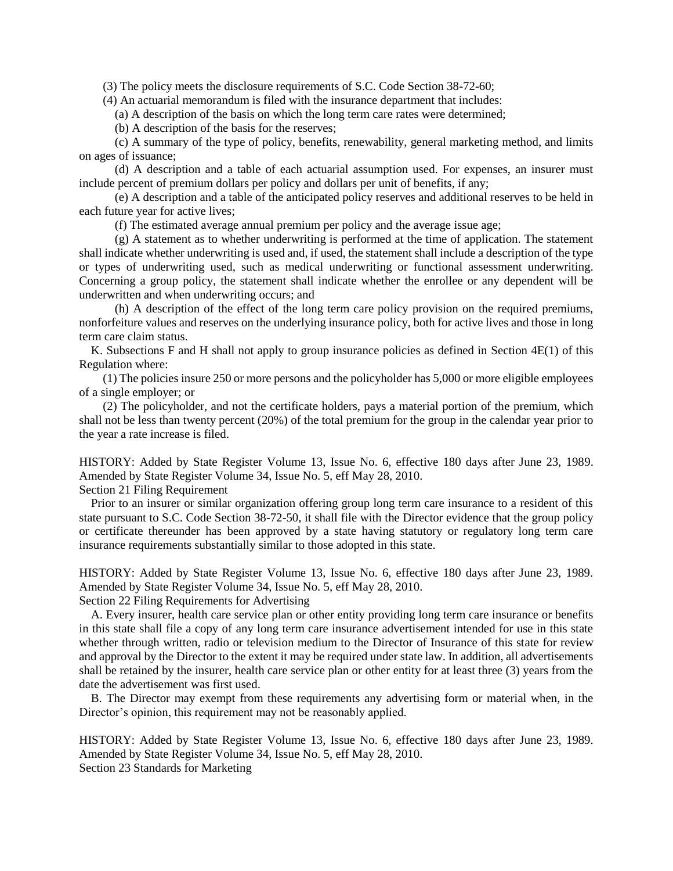(3) The policy meets the disclosure requirements of S.C. Code Section 38-72-60;

(4) An actuarial memorandum is filed with the insurance department that includes:

(a) A description of the basis on which the long term care rates were determined;

(b) A description of the basis for the reserves;

(c) A summary of the type of policy, benefits, renewability, general marketing method, and limits on ages of issuance;

(d) A description and a table of each actuarial assumption used. For expenses, an insurer must include percent of premium dollars per policy and dollars per unit of benefits, if any;

(e) A description and a table of the anticipated policy reserves and additional reserves to be held in each future year for active lives;

(f) The estimated average annual premium per policy and the average issue age;

(g) A statement as to whether underwriting is performed at the time of application. The statement shall indicate whether underwriting is used and, if used, the statement shall include a description of the type or types of underwriting used, such as medical underwriting or functional assessment underwriting. Concerning a group policy, the statement shall indicate whether the enrollee or any dependent will be underwritten and when underwriting occurs; and

(h) A description of the effect of the long term care policy provision on the required premiums, nonforfeiture values and reserves on the underlying insurance policy, both for active lives and those in long term care claim status.

K. Subsections F and H shall not apply to group insurance policies as defined in Section 4E(1) of this Regulation where:

(1) The policies insure 250 or more persons and the policyholder has 5,000 or more eligible employees of a single employer; or

(2) The policyholder, and not the certificate holders, pays a material portion of the premium, which shall not be less than twenty percent (20%) of the total premium for the group in the calendar year prior to the year a rate increase is filed.

HISTORY: Added by State Register Volume 13, Issue No. 6, effective 180 days after June 23, 1989. Amended by State Register Volume 34, Issue No. 5, eff May 28, 2010. Section 21 Filing Requirement

Prior to an insurer or similar organization offering group long term care insurance to a resident of this state pursuant to S.C. Code Section 38-72-50, it shall file with the Director evidence that the group policy or certificate thereunder has been approved by a state having statutory or regulatory long term care insurance requirements substantially similar to those adopted in this state.

HISTORY: Added by State Register Volume 13, Issue No. 6, effective 180 days after June 23, 1989. Amended by State Register Volume 34, Issue No. 5, eff May 28, 2010.

Section 22 Filing Requirements for Advertising

A. Every insurer, health care service plan or other entity providing long term care insurance or benefits in this state shall file a copy of any long term care insurance advertisement intended for use in this state whether through written, radio or television medium to the Director of Insurance of this state for review and approval by the Director to the extent it may be required under state law. In addition, all advertisements shall be retained by the insurer, health care service plan or other entity for at least three (3) years from the date the advertisement was first used.

B. The Director may exempt from these requirements any advertising form or material when, in the Director's opinion, this requirement may not be reasonably applied.

HISTORY: Added by State Register Volume 13, Issue No. 6, effective 180 days after June 23, 1989. Amended by State Register Volume 34, Issue No. 5, eff May 28, 2010. Section 23 Standards for Marketing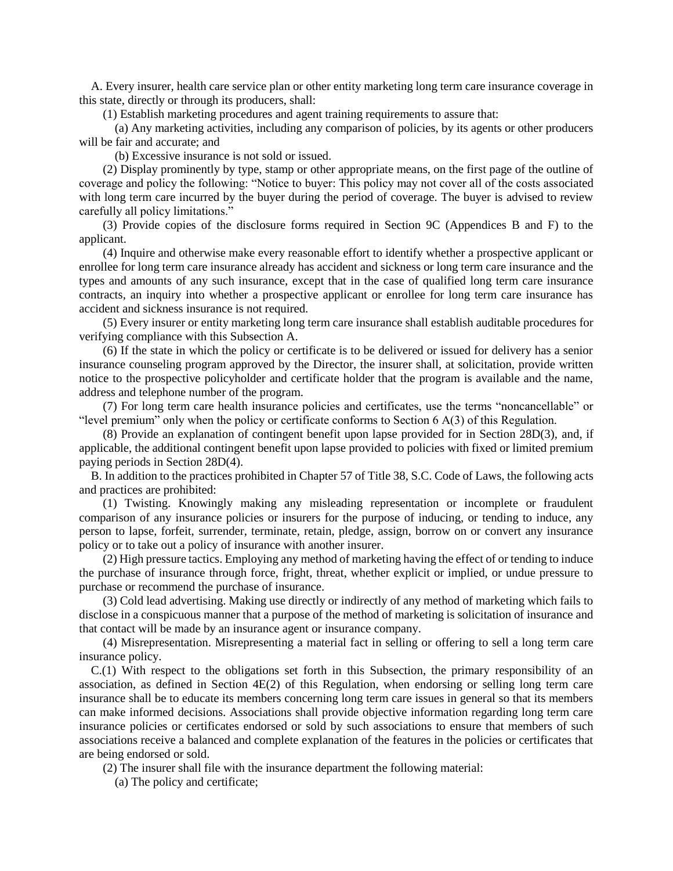A. Every insurer, health care service plan or other entity marketing long term care insurance coverage in this state, directly or through its producers, shall:

(1) Establish marketing procedures and agent training requirements to assure that:

(a) Any marketing activities, including any comparison of policies, by its agents or other producers will be fair and accurate; and

(b) Excessive insurance is not sold or issued.

(2) Display prominently by type, stamp or other appropriate means, on the first page of the outline of coverage and policy the following: "Notice to buyer: This policy may not cover all of the costs associated with long term care incurred by the buyer during the period of coverage. The buyer is advised to review carefully all policy limitations."

(3) Provide copies of the disclosure forms required in Section 9C (Appendices B and F) to the applicant.

(4) Inquire and otherwise make every reasonable effort to identify whether a prospective applicant or enrollee for long term care insurance already has accident and sickness or long term care insurance and the types and amounts of any such insurance, except that in the case of qualified long term care insurance contracts, an inquiry into whether a prospective applicant or enrollee for long term care insurance has accident and sickness insurance is not required.

(5) Every insurer or entity marketing long term care insurance shall establish auditable procedures for verifying compliance with this Subsection A.

(6) If the state in which the policy or certificate is to be delivered or issued for delivery has a senior insurance counseling program approved by the Director, the insurer shall, at solicitation, provide written notice to the prospective policyholder and certificate holder that the program is available and the name, address and telephone number of the program.

(7) For long term care health insurance policies and certificates, use the terms "noncancellable" or "level premium" only when the policy or certificate conforms to Section 6 A(3) of this Regulation.

(8) Provide an explanation of contingent benefit upon lapse provided for in Section 28D(3), and, if applicable, the additional contingent benefit upon lapse provided to policies with fixed or limited premium paying periods in Section 28D(4).

B. In addition to the practices prohibited in Chapter 57 of Title 38, S.C. Code of Laws, the following acts and practices are prohibited:

(1) Twisting. Knowingly making any misleading representation or incomplete or fraudulent comparison of any insurance policies or insurers for the purpose of inducing, or tending to induce, any person to lapse, forfeit, surrender, terminate, retain, pledge, assign, borrow on or convert any insurance policy or to take out a policy of insurance with another insurer.

(2) High pressure tactics. Employing any method of marketing having the effect of or tending to induce the purchase of insurance through force, fright, threat, whether explicit or implied, or undue pressure to purchase or recommend the purchase of insurance.

(3) Cold lead advertising. Making use directly or indirectly of any method of marketing which fails to disclose in a conspicuous manner that a purpose of the method of marketing is solicitation of insurance and that contact will be made by an insurance agent or insurance company.

(4) Misrepresentation. Misrepresenting a material fact in selling or offering to sell a long term care insurance policy.

C.(1) With respect to the obligations set forth in this Subsection, the primary responsibility of an association, as defined in Section 4E(2) of this Regulation, when endorsing or selling long term care insurance shall be to educate its members concerning long term care issues in general so that its members can make informed decisions. Associations shall provide objective information regarding long term care insurance policies or certificates endorsed or sold by such associations to ensure that members of such associations receive a balanced and complete explanation of the features in the policies or certificates that are being endorsed or sold.

(2) The insurer shall file with the insurance department the following material:

(a) The policy and certificate;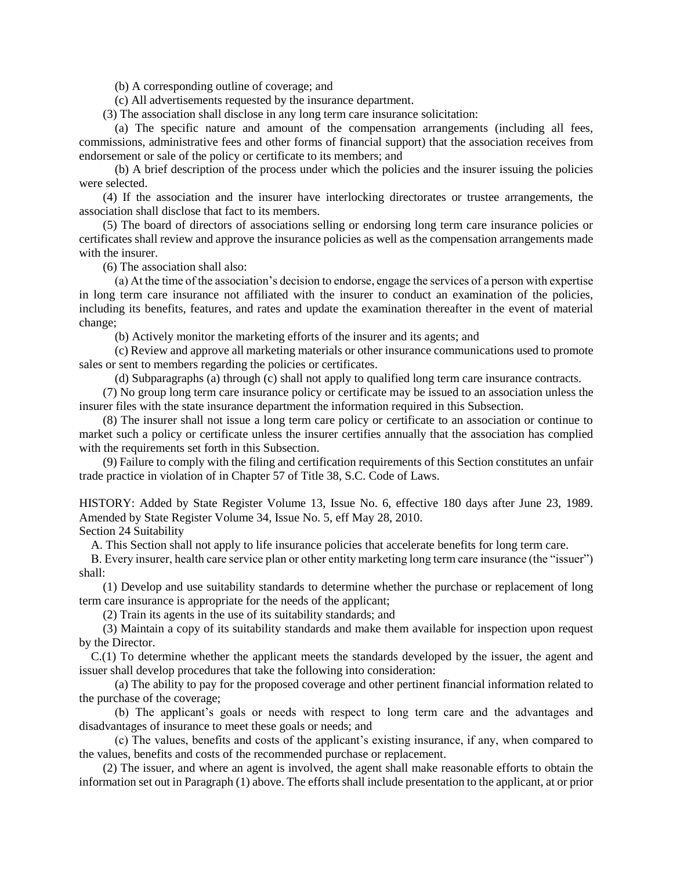(b) A corresponding outline of coverage; and

(c) All advertisements requested by the insurance department.

(3) The association shall disclose in any long term care insurance solicitation:

(a) The specific nature and amount of the compensation arrangements (including all fees, commissions, administrative fees and other forms of financial support) that the association receives from endorsement or sale of the policy or certificate to its members; and

(b) A brief description of the process under which the policies and the insurer issuing the policies were selected.

(4) If the association and the insurer have interlocking directorates or trustee arrangements, the association shall disclose that fact to its members.

(5) The board of directors of associations selling or endorsing long term care insurance policies or certificates shall review and approve the insurance policies as well as the compensation arrangements made with the insurer.

(6) The association shall also:

(a) At the time of the association's decision to endorse, engage the services of a person with expertise in long term care insurance not affiliated with the insurer to conduct an examination of the policies, including its benefits, features, and rates and update the examination thereafter in the event of material change;

(b) Actively monitor the marketing efforts of the insurer and its agents; and

(c) Review and approve all marketing materials or other insurance communications used to promote sales or sent to members regarding the policies or certificates.

(d) Subparagraphs (a) through (c) shall not apply to qualified long term care insurance contracts.

(7) No group long term care insurance policy or certificate may be issued to an association unless the insurer files with the state insurance department the information required in this Subsection.

(8) The insurer shall not issue a long term care policy or certificate to an association or continue to market such a policy or certificate unless the insurer certifies annually that the association has complied with the requirements set forth in this Subsection.

(9) Failure to comply with the filing and certification requirements of this Section constitutes an unfair trade practice in violation of in Chapter 57 of Title 38, S.C. Code of Laws.

HISTORY: Added by State Register Volume 13, Issue No. 6, effective 180 days after June 23, 1989. Amended by State Register Volume 34, Issue No. 5, eff May 28, 2010. Section 24 Suitability

A. This Section shall not apply to life insurance policies that accelerate benefits for long term care.

B. Every insurer, health care service plan or other entity marketing long term care insurance (the "issuer") shall:

(1) Develop and use suitability standards to determine whether the purchase or replacement of long term care insurance is appropriate for the needs of the applicant;

(2) Train its agents in the use of its suitability standards; and

(3) Maintain a copy of its suitability standards and make them available for inspection upon request by the Director.

C.(1) To determine whether the applicant meets the standards developed by the issuer, the agent and issuer shall develop procedures that take the following into consideration:

(a) The ability to pay for the proposed coverage and other pertinent financial information related to the purchase of the coverage;

(b) The applicant's goals or needs with respect to long term care and the advantages and disadvantages of insurance to meet these goals or needs; and

(c) The values, benefits and costs of the applicant's existing insurance, if any, when compared to the values, benefits and costs of the recommended purchase or replacement.

(2) The issuer, and where an agent is involved, the agent shall make reasonable efforts to obtain the information set out in Paragraph (1) above. The efforts shall include presentation to the applicant, at or prior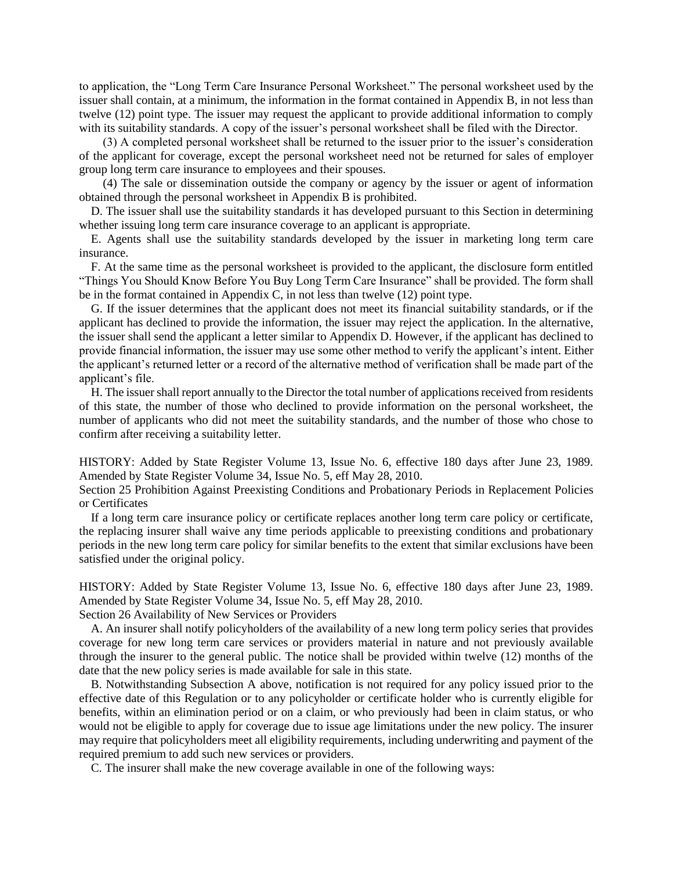to application, the "Long Term Care Insurance Personal Worksheet." The personal worksheet used by the issuer shall contain, at a minimum, the information in the format contained in Appendix B, in not less than twelve (12) point type. The issuer may request the applicant to provide additional information to comply with its suitability standards. A copy of the issuer's personal worksheet shall be filed with the Director.

(3) A completed personal worksheet shall be returned to the issuer prior to the issuer's consideration of the applicant for coverage, except the personal worksheet need not be returned for sales of employer group long term care insurance to employees and their spouses.

(4) The sale or dissemination outside the company or agency by the issuer or agent of information obtained through the personal worksheet in Appendix B is prohibited.

D. The issuer shall use the suitability standards it has developed pursuant to this Section in determining whether issuing long term care insurance coverage to an applicant is appropriate.

E. Agents shall use the suitability standards developed by the issuer in marketing long term care insurance.

F. At the same time as the personal worksheet is provided to the applicant, the disclosure form entitled "Things You Should Know Before You Buy Long Term Care Insurance" shall be provided. The form shall be in the format contained in Appendix C, in not less than twelve (12) point type.

G. If the issuer determines that the applicant does not meet its financial suitability standards, or if the applicant has declined to provide the information, the issuer may reject the application. In the alternative, the issuer shall send the applicant a letter similar to Appendix D. However, if the applicant has declined to provide financial information, the issuer may use some other method to verify the applicant's intent. Either the applicant's returned letter or a record of the alternative method of verification shall be made part of the applicant's file.

H. The issuer shall report annually to the Director the total number of applications received from residents of this state, the number of those who declined to provide information on the personal worksheet, the number of applicants who did not meet the suitability standards, and the number of those who chose to confirm after receiving a suitability letter.

HISTORY: Added by State Register Volume 13, Issue No. 6, effective 180 days after June 23, 1989. Amended by State Register Volume 34, Issue No. 5, eff May 28, 2010.

Section 25 Prohibition Against Preexisting Conditions and Probationary Periods in Replacement Policies or Certificates

If a long term care insurance policy or certificate replaces another long term care policy or certificate, the replacing insurer shall waive any time periods applicable to preexisting conditions and probationary periods in the new long term care policy for similar benefits to the extent that similar exclusions have been satisfied under the original policy.

HISTORY: Added by State Register Volume 13, Issue No. 6, effective 180 days after June 23, 1989. Amended by State Register Volume 34, Issue No. 5, eff May 28, 2010.

Section 26 Availability of New Services or Providers

A. An insurer shall notify policyholders of the availability of a new long term policy series that provides coverage for new long term care services or providers material in nature and not previously available through the insurer to the general public. The notice shall be provided within twelve (12) months of the date that the new policy series is made available for sale in this state.

B. Notwithstanding Subsection A above, notification is not required for any policy issued prior to the effective date of this Regulation or to any policyholder or certificate holder who is currently eligible for benefits, within an elimination period or on a claim, or who previously had been in claim status, or who would not be eligible to apply for coverage due to issue age limitations under the new policy. The insurer may require that policyholders meet all eligibility requirements, including underwriting and payment of the required premium to add such new services or providers.

C. The insurer shall make the new coverage available in one of the following ways: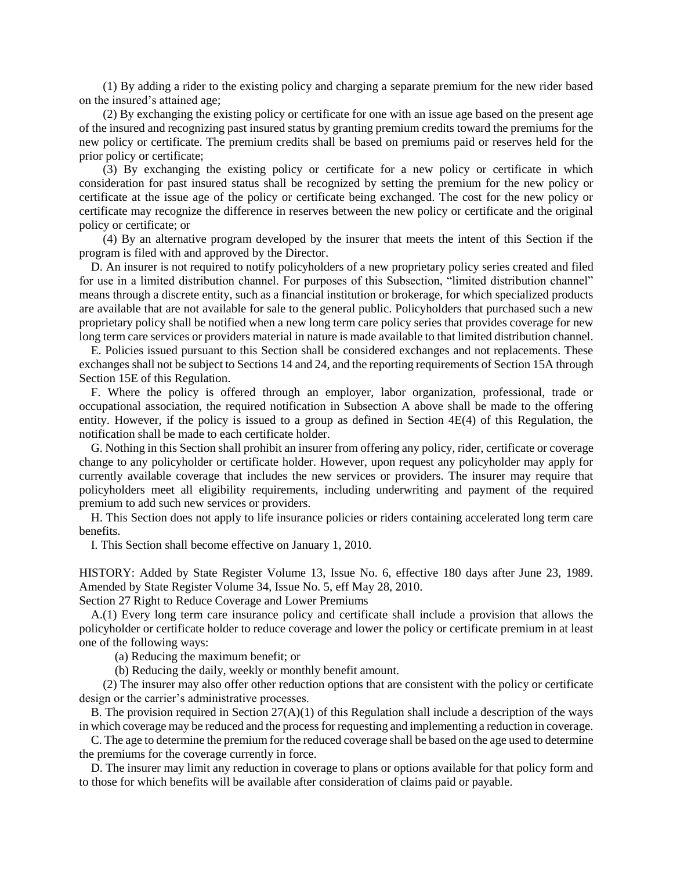(1) By adding a rider to the existing policy and charging a separate premium for the new rider based on the insured's attained age;

(2) By exchanging the existing policy or certificate for one with an issue age based on the present age of the insured and recognizing past insured status by granting premium credits toward the premiums for the new policy or certificate. The premium credits shall be based on premiums paid or reserves held for the prior policy or certificate;

(3) By exchanging the existing policy or certificate for a new policy or certificate in which consideration for past insured status shall be recognized by setting the premium for the new policy or certificate at the issue age of the policy or certificate being exchanged. The cost for the new policy or certificate may recognize the difference in reserves between the new policy or certificate and the original policy or certificate; or

(4) By an alternative program developed by the insurer that meets the intent of this Section if the program is filed with and approved by the Director.

D. An insurer is not required to notify policyholders of a new proprietary policy series created and filed for use in a limited distribution channel. For purposes of this Subsection, "limited distribution channel" means through a discrete entity, such as a financial institution or brokerage, for which specialized products are available that are not available for sale to the general public. Policyholders that purchased such a new proprietary policy shall be notified when a new long term care policy series that provides coverage for new long term care services or providers material in nature is made available to that limited distribution channel.

E. Policies issued pursuant to this Section shall be considered exchanges and not replacements. These exchanges shall not be subject to Sections 14 and 24, and the reporting requirements of Section 15A through Section 15E of this Regulation.

F. Where the policy is offered through an employer, labor organization, professional, trade or occupational association, the required notification in Subsection A above shall be made to the offering entity. However, if the policy is issued to a group as defined in Section 4E(4) of this Regulation, the notification shall be made to each certificate holder.

G. Nothing in this Section shall prohibit an insurer from offering any policy, rider, certificate or coverage change to any policyholder or certificate holder. However, upon request any policyholder may apply for currently available coverage that includes the new services or providers. The insurer may require that policyholders meet all eligibility requirements, including underwriting and payment of the required premium to add such new services or providers.

H. This Section does not apply to life insurance policies or riders containing accelerated long term care benefits.

I. This Section shall become effective on January 1, 2010.

HISTORY: Added by State Register Volume 13, Issue No. 6, effective 180 days after June 23, 1989. Amended by State Register Volume 34, Issue No. 5, eff May 28, 2010.

Section 27 Right to Reduce Coverage and Lower Premiums

A.(1) Every long term care insurance policy and certificate shall include a provision that allows the policyholder or certificate holder to reduce coverage and lower the policy or certificate premium in at least one of the following ways:

(a) Reducing the maximum benefit; or

(b) Reducing the daily, weekly or monthly benefit amount.

(2) The insurer may also offer other reduction options that are consistent with the policy or certificate design or the carrier's administrative processes.

B. The provision required in Section  $27(A)(1)$  of this Regulation shall include a description of the ways in which coverage may be reduced and the process for requesting and implementing a reduction in coverage.

C. The age to determine the premium for the reduced coverage shall be based on the age used to determine the premiums for the coverage currently in force.

D. The insurer may limit any reduction in coverage to plans or options available for that policy form and to those for which benefits will be available after consideration of claims paid or payable.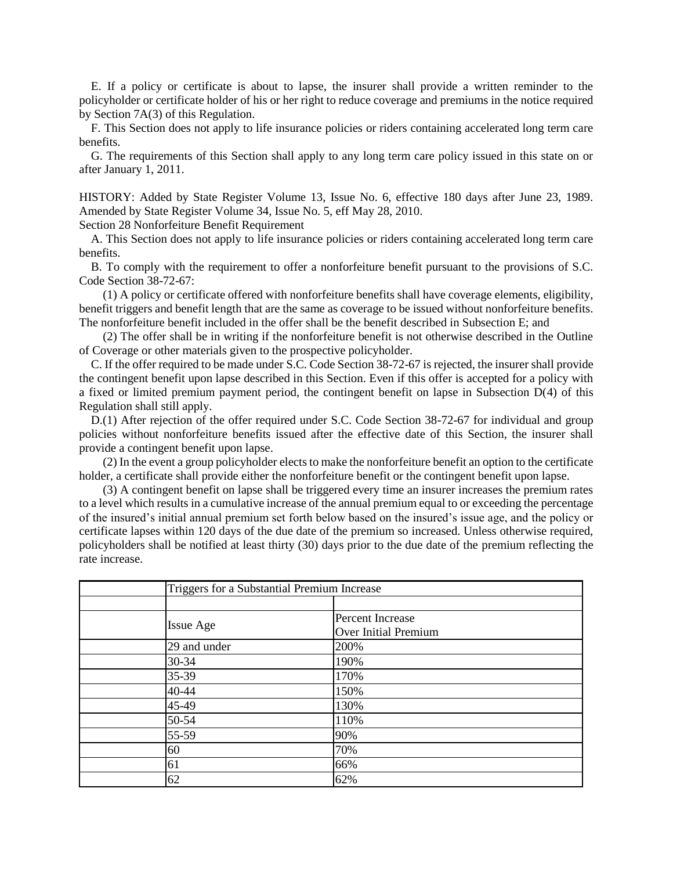E. If a policy or certificate is about to lapse, the insurer shall provide a written reminder to the policyholder or certificate holder of his or her right to reduce coverage and premiums in the notice required by Section 7A(3) of this Regulation.

F. This Section does not apply to life insurance policies or riders containing accelerated long term care benefits.

G. The requirements of this Section shall apply to any long term care policy issued in this state on or after January 1, 2011.

HISTORY: Added by State Register Volume 13, Issue No. 6, effective 180 days after June 23, 1989. Amended by State Register Volume 34, Issue No. 5, eff May 28, 2010.

Section 28 Nonforfeiture Benefit Requirement

A. This Section does not apply to life insurance policies or riders containing accelerated long term care benefits.

B. To comply with the requirement to offer a nonforfeiture benefit pursuant to the provisions of S.C. Code Section 38-72-67:

(1) A policy or certificate offered with nonforfeiture benefits shall have coverage elements, eligibility, benefit triggers and benefit length that are the same as coverage to be issued without nonforfeiture benefits. The nonforfeiture benefit included in the offer shall be the benefit described in Subsection E; and

(2) The offer shall be in writing if the nonforfeiture benefit is not otherwise described in the Outline of Coverage or other materials given to the prospective policyholder.

C. If the offer required to be made under S.C. Code Section 38-72-67 is rejected, the insurer shall provide the contingent benefit upon lapse described in this Section. Even if this offer is accepted for a policy with a fixed or limited premium payment period, the contingent benefit on lapse in Subsection D(4) of this Regulation shall still apply.

D.(1) After rejection of the offer required under S.C. Code Section 38-72-67 for individual and group policies without nonforfeiture benefits issued after the effective date of this Section, the insurer shall provide a contingent benefit upon lapse.

(2) In the event a group policyholder elects to make the nonforfeiture benefit an option to the certificate holder, a certificate shall provide either the nonforfeiture benefit or the contingent benefit upon lapse.

(3) A contingent benefit on lapse shall be triggered every time an insurer increases the premium rates to a level which results in a cumulative increase of the annual premium equal to or exceeding the percentage of the insured's initial annual premium set forth below based on the insured's issue age, and the policy or certificate lapses within 120 days of the due date of the premium so increased. Unless otherwise required, policyholders shall be notified at least thirty (30) days prior to the due date of the premium reflecting the rate increase.

|              | Triggers for a Substantial Premium Increase |  |
|--------------|---------------------------------------------|--|
|              |                                             |  |
| Issue Age    | Percent Increase                            |  |
|              | <b>Over Initial Premium</b>                 |  |
| 29 and under | 200%                                        |  |
| 30-34        | 190%                                        |  |
| 35-39        | 170%                                        |  |
| 40-44        | 150%                                        |  |
| 45-49        | 130%                                        |  |
| 50-54        | 110%                                        |  |
| 55-59        | 90%                                         |  |
| 60           | 70%                                         |  |
| 61           | 66%                                         |  |
| 62           | 62%                                         |  |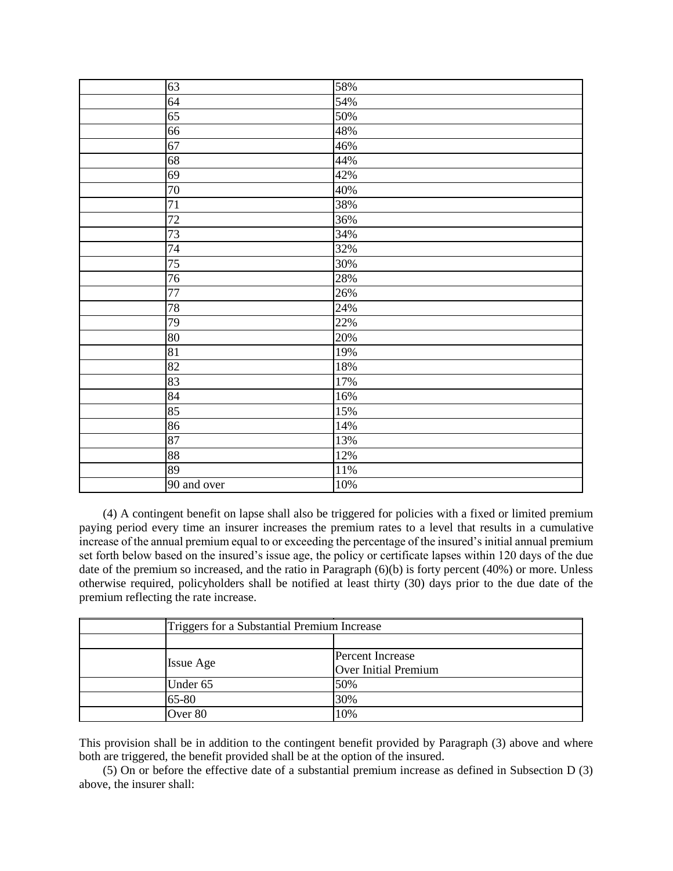| 63              |             | 58% |
|-----------------|-------------|-----|
| $\overline{64}$ |             | 54% |
| 65              |             | 50% |
| 66              |             | 48% |
| 67              |             | 46% |
| $\overline{68}$ |             | 44% |
| 69              |             | 42% |
| 70              |             | 40% |
| 71              |             | 38% |
| $\overline{72}$ |             | 36% |
| 73              |             | 34% |
| $\overline{74}$ |             | 32% |
| 75              |             | 30% |
| 76              |             | 28% |
| $\overline{77}$ |             | 26% |
| 78              |             | 24% |
| 79              |             | 22% |
| 80              |             | 20% |
| 81              |             | 19% |
| 82              |             | 18% |
| 83              |             | 17% |
| 84              |             | 16% |
| 85              |             | 15% |
| 86              |             | 14% |
| 87              |             | 13% |
| 88              |             | 12% |
| 89              |             | 11% |
|                 | 90 and over | 10% |

(4) A contingent benefit on lapse shall also be triggered for policies with a fixed or limited premium paying period every time an insurer increases the premium rates to a level that results in a cumulative increase of the annual premium equal to or exceeding the percentage of the insured's initial annual premium set forth below based on the insured's issue age, the policy or certificate lapses within 120 days of the due date of the premium so increased, and the ratio in Paragraph (6)(b) is forty percent (40%) or more. Unless otherwise required, policyholders shall be notified at least thirty (30) days prior to the due date of the premium reflecting the rate increase.

|           | Triggers for a Substantial Premium Increase |  |
|-----------|---------------------------------------------|--|
|           |                                             |  |
|           | Percent Increase                            |  |
| Issue Age | Over Initial Premium                        |  |
| Under 65  | 50%                                         |  |
| 65-80     | 30%                                         |  |
| Over 80   | 10%                                         |  |

This provision shall be in addition to the contingent benefit provided by Paragraph (3) above and where both are triggered, the benefit provided shall be at the option of the insured.

(5) On or before the effective date of a substantial premium increase as defined in Subsection D (3) above, the insurer shall: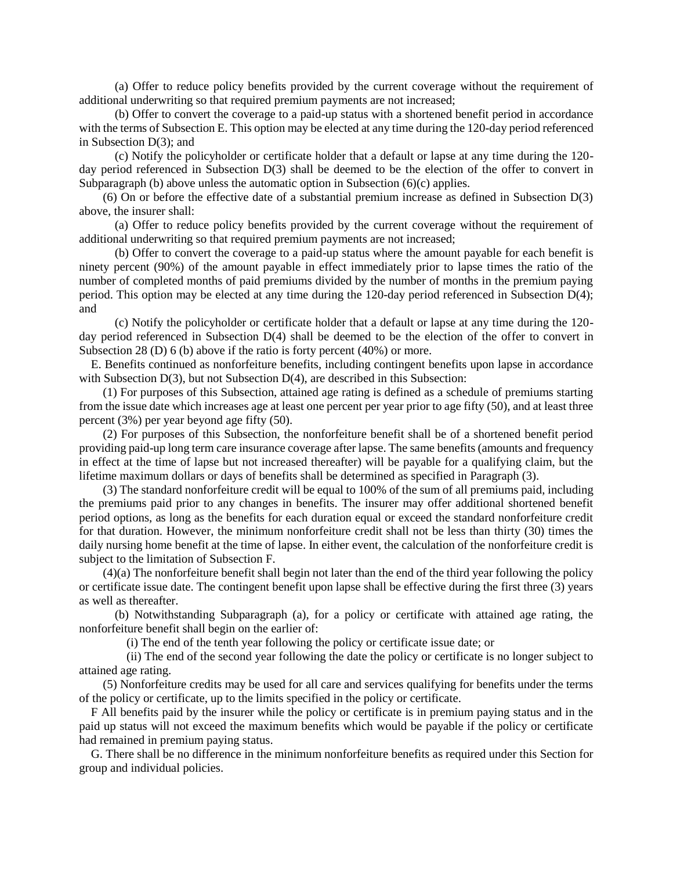(a) Offer to reduce policy benefits provided by the current coverage without the requirement of additional underwriting so that required premium payments are not increased;

(b) Offer to convert the coverage to a paid-up status with a shortened benefit period in accordance with the terms of Subsection E. This option may be elected at any time during the 120-day period referenced in Subsection D(3); and

(c) Notify the policyholder or certificate holder that a default or lapse at any time during the 120 day period referenced in Subsection D(3) shall be deemed to be the election of the offer to convert in Subparagraph (b) above unless the automatic option in Subsection (6)(c) applies.

(6) On or before the effective date of a substantial premium increase as defined in Subsection D(3) above, the insurer shall:

(a) Offer to reduce policy benefits provided by the current coverage without the requirement of additional underwriting so that required premium payments are not increased;

(b) Offer to convert the coverage to a paid-up status where the amount payable for each benefit is ninety percent (90%) of the amount payable in effect immediately prior to lapse times the ratio of the number of completed months of paid premiums divided by the number of months in the premium paying period. This option may be elected at any time during the 120-day period referenced in Subsection D(4); and

(c) Notify the policyholder or certificate holder that a default or lapse at any time during the 120 day period referenced in Subsection D(4) shall be deemed to be the election of the offer to convert in Subsection 28 (D) 6 (b) above if the ratio is forty percent (40%) or more.

E. Benefits continued as nonforfeiture benefits, including contingent benefits upon lapse in accordance with Subsection D(3), but not Subsection D(4), are described in this Subsection:

(1) For purposes of this Subsection, attained age rating is defined as a schedule of premiums starting from the issue date which increases age at least one percent per year prior to age fifty (50), and at least three percent (3%) per year beyond age fifty (50).

(2) For purposes of this Subsection, the nonforfeiture benefit shall be of a shortened benefit period providing paid-up long term care insurance coverage after lapse. The same benefits (amounts and frequency in effect at the time of lapse but not increased thereafter) will be payable for a qualifying claim, but the lifetime maximum dollars or days of benefits shall be determined as specified in Paragraph (3).

(3) The standard nonforfeiture credit will be equal to 100% of the sum of all premiums paid, including the premiums paid prior to any changes in benefits. The insurer may offer additional shortened benefit period options, as long as the benefits for each duration equal or exceed the standard nonforfeiture credit for that duration. However, the minimum nonforfeiture credit shall not be less than thirty (30) times the daily nursing home benefit at the time of lapse. In either event, the calculation of the nonforfeiture credit is subject to the limitation of Subsection F.

(4)(a) The nonforfeiture benefit shall begin not later than the end of the third year following the policy or certificate issue date. The contingent benefit upon lapse shall be effective during the first three (3) years as well as thereafter.

(b) Notwithstanding Subparagraph (a), for a policy or certificate with attained age rating, the nonforfeiture benefit shall begin on the earlier of:

(i) The end of the tenth year following the policy or certificate issue date; or

(ii) The end of the second year following the date the policy or certificate is no longer subject to attained age rating.

(5) Nonforfeiture credits may be used for all care and services qualifying for benefits under the terms of the policy or certificate, up to the limits specified in the policy or certificate.

F All benefits paid by the insurer while the policy or certificate is in premium paying status and in the paid up status will not exceed the maximum benefits which would be payable if the policy or certificate had remained in premium paying status.

G. There shall be no difference in the minimum nonforfeiture benefits as required under this Section for group and individual policies.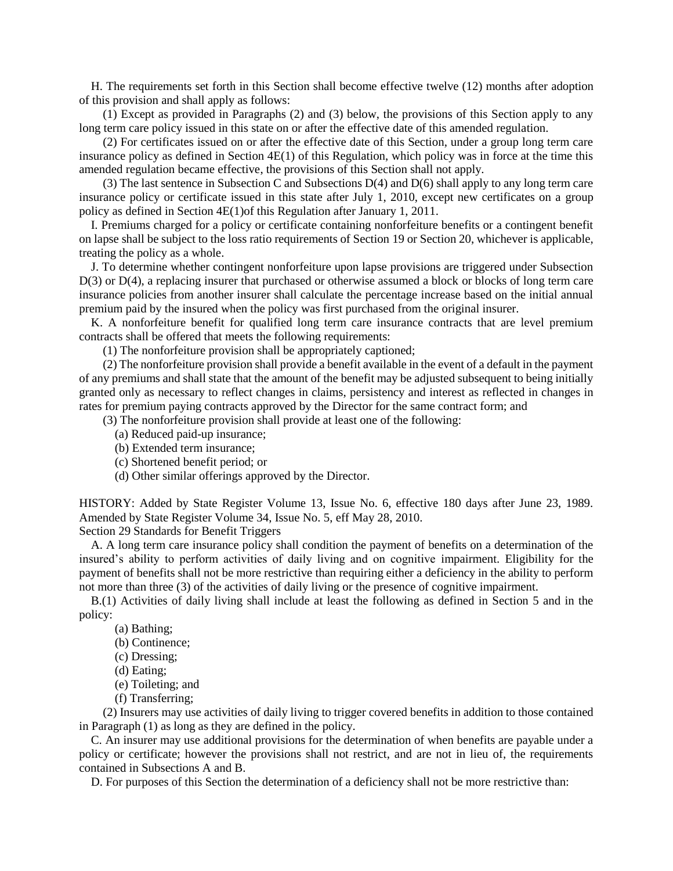H. The requirements set forth in this Section shall become effective twelve (12) months after adoption of this provision and shall apply as follows:

(1) Except as provided in Paragraphs (2) and (3) below, the provisions of this Section apply to any long term care policy issued in this state on or after the effective date of this amended regulation.

(2) For certificates issued on or after the effective date of this Section, under a group long term care insurance policy as defined in Section 4E(1) of this Regulation, which policy was in force at the time this amended regulation became effective, the provisions of this Section shall not apply.

(3) The last sentence in Subsection C and Subsections D(4) and D(6) shall apply to any long term care insurance policy or certificate issued in this state after July 1, 2010, except new certificates on a group policy as defined in Section 4E(1)of this Regulation after January 1, 2011.

I. Premiums charged for a policy or certificate containing nonforfeiture benefits or a contingent benefit on lapse shall be subject to the loss ratio requirements of Section 19 or Section 20, whichever is applicable, treating the policy as a whole.

J. To determine whether contingent nonforfeiture upon lapse provisions are triggered under Subsection D(3) or D(4), a replacing insurer that purchased or otherwise assumed a block or blocks of long term care insurance policies from another insurer shall calculate the percentage increase based on the initial annual premium paid by the insured when the policy was first purchased from the original insurer.

K. A nonforfeiture benefit for qualified long term care insurance contracts that are level premium contracts shall be offered that meets the following requirements:

(1) The nonforfeiture provision shall be appropriately captioned;

(2) The nonforfeiture provision shall provide a benefit available in the event of a default in the payment of any premiums and shall state that the amount of the benefit may be adjusted subsequent to being initially granted only as necessary to reflect changes in claims, persistency and interest as reflected in changes in rates for premium paying contracts approved by the Director for the same contract form; and

(3) The nonforfeiture provision shall provide at least one of the following:

- (a) Reduced paid-up insurance;
- (b) Extended term insurance;
- (c) Shortened benefit period; or
- (d) Other similar offerings approved by the Director.

HISTORY: Added by State Register Volume 13, Issue No. 6, effective 180 days after June 23, 1989. Amended by State Register Volume 34, Issue No. 5, eff May 28, 2010.

Section 29 Standards for Benefit Triggers

A. A long term care insurance policy shall condition the payment of benefits on a determination of the insured's ability to perform activities of daily living and on cognitive impairment. Eligibility for the payment of benefits shall not be more restrictive than requiring either a deficiency in the ability to perform not more than three (3) of the activities of daily living or the presence of cognitive impairment.

B.(1) Activities of daily living shall include at least the following as defined in Section 5 and in the policy:

(a) Bathing;

- (b) Continence;
- (c) Dressing;
- (d) Eating;
- (e) Toileting; and
- (f) Transferring;

(2) Insurers may use activities of daily living to trigger covered benefits in addition to those contained in Paragraph (1) as long as they are defined in the policy.

C. An insurer may use additional provisions for the determination of when benefits are payable under a policy or certificate; however the provisions shall not restrict, and are not in lieu of, the requirements contained in Subsections A and B.

D. For purposes of this Section the determination of a deficiency shall not be more restrictive than: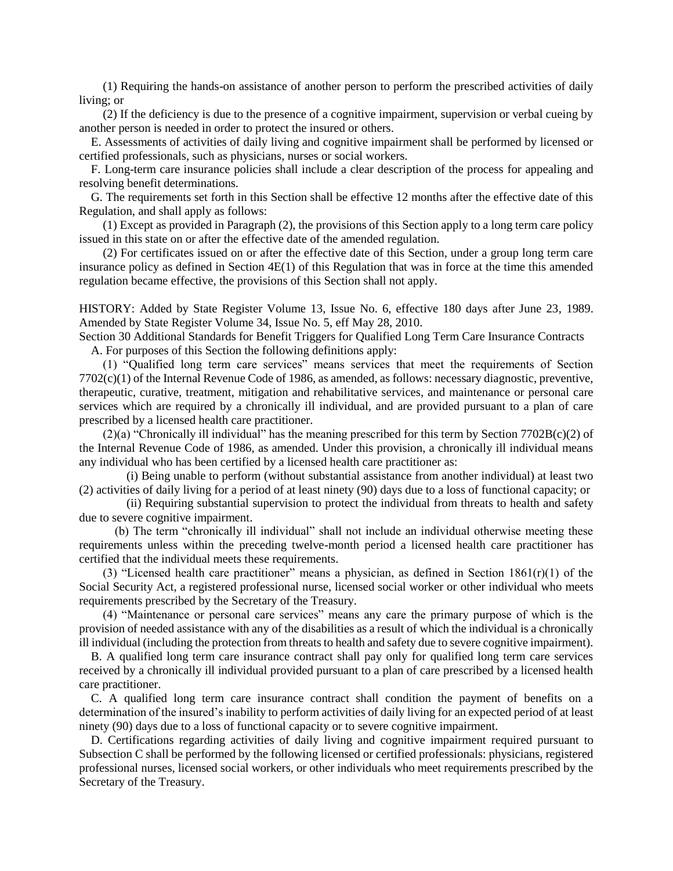(1) Requiring the hands-on assistance of another person to perform the prescribed activities of daily living; or

(2) If the deficiency is due to the presence of a cognitive impairment, supervision or verbal cueing by another person is needed in order to protect the insured or others.

E. Assessments of activities of daily living and cognitive impairment shall be performed by licensed or certified professionals, such as physicians, nurses or social workers.

F. Long-term care insurance policies shall include a clear description of the process for appealing and resolving benefit determinations.

G. The requirements set forth in this Section shall be effective 12 months after the effective date of this Regulation, and shall apply as follows:

(1) Except as provided in Paragraph (2), the provisions of this Section apply to a long term care policy issued in this state on or after the effective date of the amended regulation.

(2) For certificates issued on or after the effective date of this Section, under a group long term care insurance policy as defined in Section 4E(1) of this Regulation that was in force at the time this amended regulation became effective, the provisions of this Section shall not apply.

HISTORY: Added by State Register Volume 13, Issue No. 6, effective 180 days after June 23, 1989. Amended by State Register Volume 34, Issue No. 5, eff May 28, 2010.

Section 30 Additional Standards for Benefit Triggers for Qualified Long Term Care Insurance Contracts A. For purposes of this Section the following definitions apply:

(1) "Qualified long term care services" means services that meet the requirements of Section 7702(c)(1) of the Internal Revenue Code of 1986, as amended, as follows: necessary diagnostic, preventive, therapeutic, curative, treatment, mitigation and rehabilitative services, and maintenance or personal care services which are required by a chronically ill individual, and are provided pursuant to a plan of care prescribed by a licensed health care practitioner.

(2)(a) "Chronically ill individual" has the meaning prescribed for this term by Section 7702B(c)(2) of the Internal Revenue Code of 1986, as amended. Under this provision, a chronically ill individual means any individual who has been certified by a licensed health care practitioner as:

(i) Being unable to perform (without substantial assistance from another individual) at least two (2) activities of daily living for a period of at least ninety (90) days due to a loss of functional capacity; or

(ii) Requiring substantial supervision to protect the individual from threats to health and safety due to severe cognitive impairment.

(b) The term "chronically ill individual" shall not include an individual otherwise meeting these requirements unless within the preceding twelve-month period a licensed health care practitioner has certified that the individual meets these requirements.

(3) "Licensed health care practitioner" means a physician, as defined in Section  $1861(r)(1)$  of the Social Security Act, a registered professional nurse, licensed social worker or other individual who meets requirements prescribed by the Secretary of the Treasury.

(4) "Maintenance or personal care services" means any care the primary purpose of which is the provision of needed assistance with any of the disabilities as a result of which the individual is a chronically ill individual (including the protection from threats to health and safety due to severe cognitive impairment).

B. A qualified long term care insurance contract shall pay only for qualified long term care services received by a chronically ill individual provided pursuant to a plan of care prescribed by a licensed health care practitioner.

C. A qualified long term care insurance contract shall condition the payment of benefits on a determination of the insured's inability to perform activities of daily living for an expected period of at least ninety (90) days due to a loss of functional capacity or to severe cognitive impairment.

D. Certifications regarding activities of daily living and cognitive impairment required pursuant to Subsection C shall be performed by the following licensed or certified professionals: physicians, registered professional nurses, licensed social workers, or other individuals who meet requirements prescribed by the Secretary of the Treasury.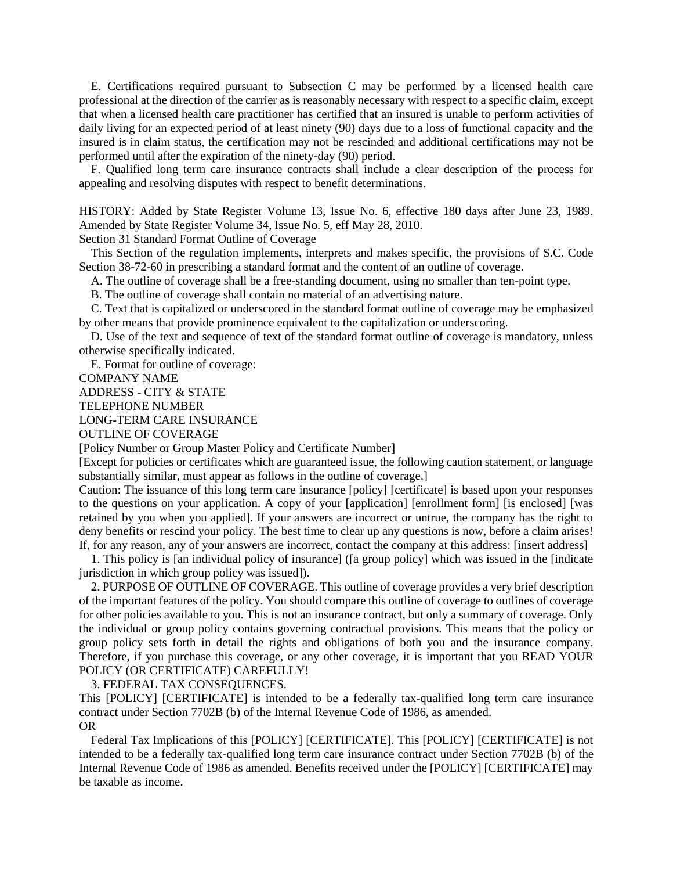E. Certifications required pursuant to Subsection C may be performed by a licensed health care professional at the direction of the carrier as is reasonably necessary with respect to a specific claim, except that when a licensed health care practitioner has certified that an insured is unable to perform activities of daily living for an expected period of at least ninety (90) days due to a loss of functional capacity and the insured is in claim status, the certification may not be rescinded and additional certifications may not be performed until after the expiration of the ninety-day (90) period.

F. Qualified long term care insurance contracts shall include a clear description of the process for appealing and resolving disputes with respect to benefit determinations.

HISTORY: Added by State Register Volume 13, Issue No. 6, effective 180 days after June 23, 1989. Amended by State Register Volume 34, Issue No. 5, eff May 28, 2010.

Section 31 Standard Format Outline of Coverage

This Section of the regulation implements, interprets and makes specific, the provisions of S.C. Code Section 38-72-60 in prescribing a standard format and the content of an outline of coverage.

A. The outline of coverage shall be a free-standing document, using no smaller than ten-point type.

B. The outline of coverage shall contain no material of an advertising nature.

C. Text that is capitalized or underscored in the standard format outline of coverage may be emphasized by other means that provide prominence equivalent to the capitalization or underscoring.

D. Use of the text and sequence of text of the standard format outline of coverage is mandatory, unless otherwise specifically indicated.

E. Format for outline of coverage:

COMPANY NAME ADDRESS - CITY & STATE TELEPHONE NUMBER

LONG-TERM CARE INSURANCE

OUTLINE OF COVERAGE

[Policy Number or Group Master Policy and Certificate Number]

[Except for policies or certificates which are guaranteed issue, the following caution statement, or language substantially similar, must appear as follows in the outline of coverage.]

Caution: The issuance of this long term care insurance [policy] [certificate] is based upon your responses to the questions on your application. A copy of your [application] [enrollment form] [is enclosed] [was retained by you when you applied]. If your answers are incorrect or untrue, the company has the right to deny benefits or rescind your policy. The best time to clear up any questions is now, before a claim arises! If, for any reason, any of your answers are incorrect, contact the company at this address: [insert address]

1. This policy is [an individual policy of insurance] ([a group policy] which was issued in the [indicate jurisdiction in which group policy was issued]).

2. PURPOSE OF OUTLINE OF COVERAGE. This outline of coverage provides a very brief description of the important features of the policy. You should compare this outline of coverage to outlines of coverage for other policies available to you. This is not an insurance contract, but only a summary of coverage. Only the individual or group policy contains governing contractual provisions. This means that the policy or group policy sets forth in detail the rights and obligations of both you and the insurance company. Therefore, if you purchase this coverage, or any other coverage, it is important that you READ YOUR POLICY (OR CERTIFICATE) CAREFULLY!

3. FEDERAL TAX CONSEQUENCES.

This [POLICY] [CERTIFICATE] is intended to be a federally tax-qualified long term care insurance contract under Section 7702B (b) of the Internal Revenue Code of 1986, as amended. OR

Federal Tax Implications of this [POLICY] [CERTIFICATE]. This [POLICY] [CERTIFICATE] is not intended to be a federally tax-qualified long term care insurance contract under Section 7702B (b) of the Internal Revenue Code of 1986 as amended. Benefits received under the [POLICY] [CERTIFICATE] may be taxable as income.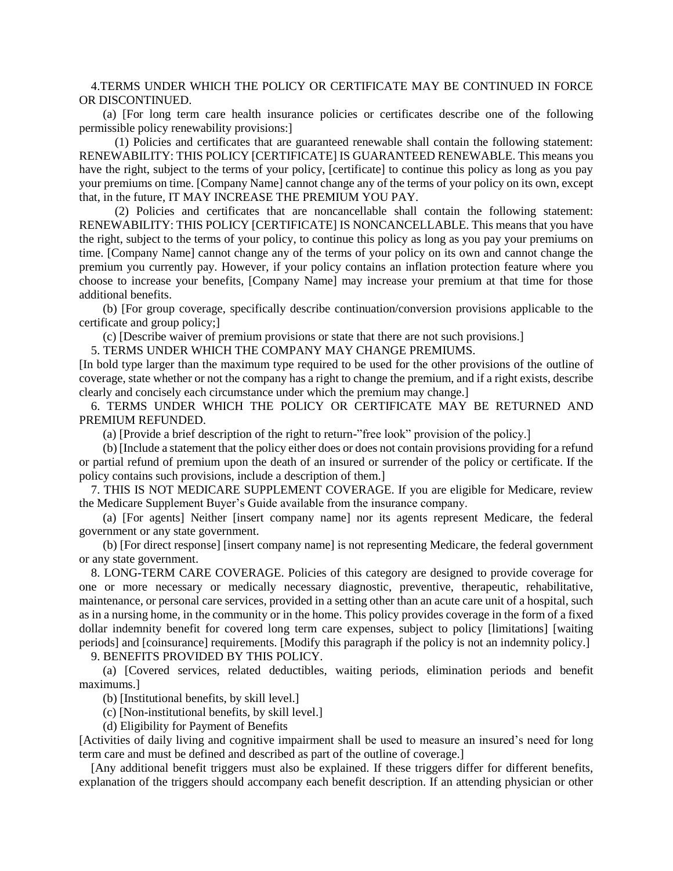#### 4.TERMS UNDER WHICH THE POLICY OR CERTIFICATE MAY BE CONTINUED IN FORCE OR DISCONTINUED.

(a) [For long term care health insurance policies or certificates describe one of the following permissible policy renewability provisions:]

(1) Policies and certificates that are guaranteed renewable shall contain the following statement: RENEWABILITY: THIS POLICY [CERTIFICATE] IS GUARANTEED RENEWABLE. This means you have the right, subject to the terms of your policy, [certificate] to continue this policy as long as you pay your premiums on time. [Company Name] cannot change any of the terms of your policy on its own, except that, in the future, IT MAY INCREASE THE PREMIUM YOU PAY.

(2) Policies and certificates that are noncancellable shall contain the following statement: RENEWABILITY: THIS POLICY [CERTIFICATE] IS NONCANCELLABLE. This means that you have the right, subject to the terms of your policy, to continue this policy as long as you pay your premiums on time. [Company Name] cannot change any of the terms of your policy on its own and cannot change the premium you currently pay. However, if your policy contains an inflation protection feature where you choose to increase your benefits, [Company Name] may increase your premium at that time for those additional benefits.

(b) [For group coverage, specifically describe continuation/conversion provisions applicable to the certificate and group policy;]

(c) [Describe waiver of premium provisions or state that there are not such provisions.]

5. TERMS UNDER WHICH THE COMPANY MAY CHANGE PREMIUMS.

[In bold type larger than the maximum type required to be used for the other provisions of the outline of coverage, state whether or not the company has a right to change the premium, and if a right exists, describe clearly and concisely each circumstance under which the premium may change.]

6. TERMS UNDER WHICH THE POLICY OR CERTIFICATE MAY BE RETURNED AND PREMIUM REFUNDED.

(a) [Provide a brief description of the right to return-"free look" provision of the policy.]

(b) [Include a statement that the policy either does or does not contain provisions providing for a refund or partial refund of premium upon the death of an insured or surrender of the policy or certificate. If the policy contains such provisions, include a description of them.]

7. THIS IS NOT MEDICARE SUPPLEMENT COVERAGE. If you are eligible for Medicare, review the Medicare Supplement Buyer's Guide available from the insurance company.

(a) [For agents] Neither [insert company name] nor its agents represent Medicare, the federal government or any state government.

(b) [For direct response] [insert company name] is not representing Medicare, the federal government or any state government.

8. LONG-TERM CARE COVERAGE. Policies of this category are designed to provide coverage for one or more necessary or medically necessary diagnostic, preventive, therapeutic, rehabilitative, maintenance, or personal care services, provided in a setting other than an acute care unit of a hospital, such as in a nursing home, in the community or in the home. This policy provides coverage in the form of a fixed dollar indemnity benefit for covered long term care expenses, subject to policy [limitations] [waiting periods] and [coinsurance] requirements. [Modify this paragraph if the policy is not an indemnity policy.]

# 9. BENEFITS PROVIDED BY THIS POLICY.

(a) [Covered services, related deductibles, waiting periods, elimination periods and benefit maximums.]

(b) [Institutional benefits, by skill level.]

(c) [Non-institutional benefits, by skill level.]

(d) Eligibility for Payment of Benefits

[Activities of daily living and cognitive impairment shall be used to measure an insured's need for long term care and must be defined and described as part of the outline of coverage.]

[Any additional benefit triggers must also be explained. If these triggers differ for different benefits, explanation of the triggers should accompany each benefit description. If an attending physician or other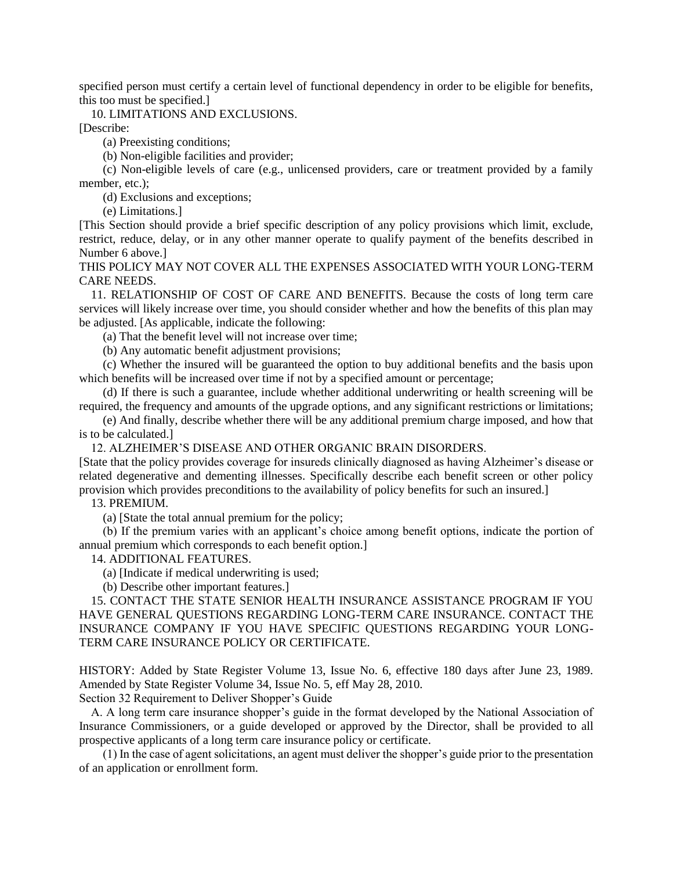specified person must certify a certain level of functional dependency in order to be eligible for benefits, this too must be specified.]

10. LIMITATIONS AND EXCLUSIONS.

[Describe:

(a) Preexisting conditions;

(b) Non-eligible facilities and provider;

(c) Non-eligible levels of care (e.g., unlicensed providers, care or treatment provided by a family member, etc.):

(d) Exclusions and exceptions;

(e) Limitations.]

[This Section should provide a brief specific description of any policy provisions which limit, exclude, restrict, reduce, delay, or in any other manner operate to qualify payment of the benefits described in Number 6 above.]

THIS POLICY MAY NOT COVER ALL THE EXPENSES ASSOCIATED WITH YOUR LONG-TERM CARE NEEDS.

11. RELATIONSHIP OF COST OF CARE AND BENEFITS. Because the costs of long term care services will likely increase over time, you should consider whether and how the benefits of this plan may be adjusted. [As applicable, indicate the following:

(a) That the benefit level will not increase over time;

(b) Any automatic benefit adjustment provisions;

(c) Whether the insured will be guaranteed the option to buy additional benefits and the basis upon which benefits will be increased over time if not by a specified amount or percentage;

(d) If there is such a guarantee, include whether additional underwriting or health screening will be required, the frequency and amounts of the upgrade options, and any significant restrictions or limitations;

(e) And finally, describe whether there will be any additional premium charge imposed, and how that is to be calculated.]

12. ALZHEIMER'S DISEASE AND OTHER ORGANIC BRAIN DISORDERS.

[State that the policy provides coverage for insureds clinically diagnosed as having Alzheimer's disease or related degenerative and dementing illnesses. Specifically describe each benefit screen or other policy provision which provides preconditions to the availability of policy benefits for such an insured.]

## 13. PREMIUM.

(a) [State the total annual premium for the policy;

(b) If the premium varies with an applicant's choice among benefit options, indicate the portion of annual premium which corresponds to each benefit option.]

14. ADDITIONAL FEATURES.

(a) [Indicate if medical underwriting is used;

(b) Describe other important features.]

15. CONTACT THE STATE SENIOR HEALTH INSURANCE ASSISTANCE PROGRAM IF YOU HAVE GENERAL QUESTIONS REGARDING LONG-TERM CARE INSURANCE. CONTACT THE INSURANCE COMPANY IF YOU HAVE SPECIFIC QUESTIONS REGARDING YOUR LONG-TERM CARE INSURANCE POLICY OR CERTIFICATE.

HISTORY: Added by State Register Volume 13, Issue No. 6, effective 180 days after June 23, 1989. Amended by State Register Volume 34, Issue No. 5, eff May 28, 2010. Section 32 Requirement to Deliver Shopper's Guide

A. A long term care insurance shopper's guide in the format developed by the National Association of Insurance Commissioners, or a guide developed or approved by the Director, shall be provided to all prospective applicants of a long term care insurance policy or certificate.

(1) In the case of agent solicitations, an agent must deliver the shopper's guide prior to the presentation of an application or enrollment form.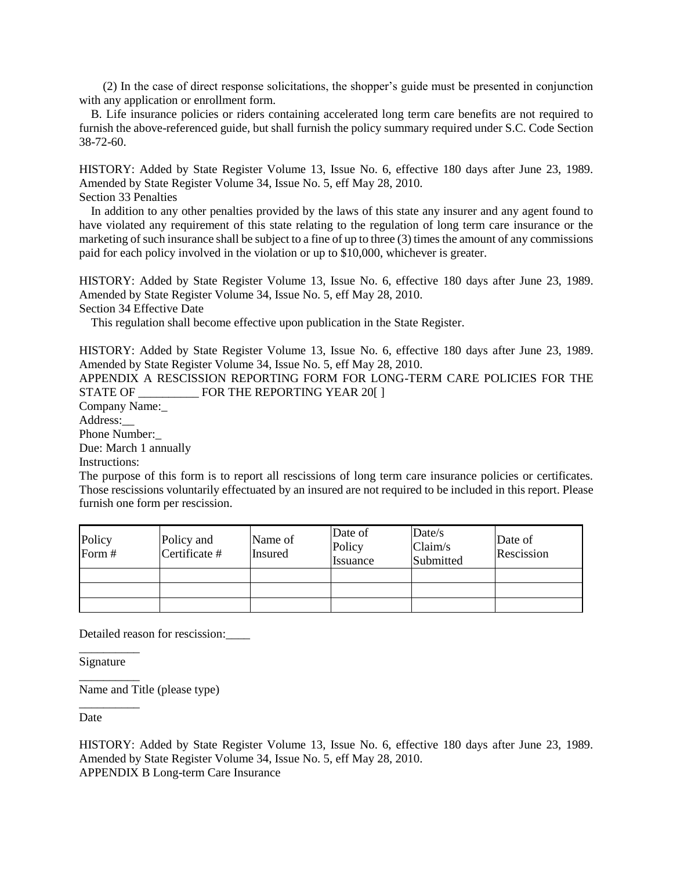(2) In the case of direct response solicitations, the shopper's guide must be presented in conjunction with any application or enrollment form.

B. Life insurance policies or riders containing accelerated long term care benefits are not required to furnish the above-referenced guide, but shall furnish the policy summary required under S.C. Code Section 38-72-60.

HISTORY: Added by State Register Volume 13, Issue No. 6, effective 180 days after June 23, 1989. Amended by State Register Volume 34, Issue No. 5, eff May 28, 2010. Section 33 Penalties

In addition to any other penalties provided by the laws of this state any insurer and any agent found to have violated any requirement of this state relating to the regulation of long term care insurance or the marketing of such insurance shall be subject to a fine of up to three (3) times the amount of any commissions paid for each policy involved in the violation or up to \$10,000, whichever is greater.

HISTORY: Added by State Register Volume 13, Issue No. 6, effective 180 days after June 23, 1989. Amended by State Register Volume 34, Issue No. 5, eff May 28, 2010. Section 34 Effective Date

This regulation shall become effective upon publication in the State Register.

HISTORY: Added by State Register Volume 13, Issue No. 6, effective 180 days after June 23, 1989. Amended by State Register Volume 34, Issue No. 5, eff May 28, 2010.

APPENDIX A RESCISSION REPORTING FORM FOR LONG-TERM CARE POLICIES FOR THE STATE OF \_\_\_\_\_\_\_\_\_\_\_\_\_\_ FOR THE REPORTING YEAR 20[ ]

Company Name:\_

Address:\_\_

Phone Number:

Due: March 1 annually

Instructions:

The purpose of this form is to report all rescissions of long term care insurance policies or certificates. Those rescissions voluntarily effectuated by an insured are not required to be included in this report. Please furnish one form per rescission.

| Policy<br>Form # | Policy and<br>Certificate # | Name of<br>Insured | Date of<br>Policy<br>Issuance | Date/s<br>Claim/s<br>Submitted | Date of<br>Rescission |
|------------------|-----------------------------|--------------------|-------------------------------|--------------------------------|-----------------------|
|                  |                             |                    |                               |                                |                       |
|                  |                             |                    |                               |                                |                       |
|                  |                             |                    |                               |                                |                       |

Detailed reason for rescission:\_\_\_\_

\_\_\_\_\_\_\_\_\_\_ Signature \_\_\_\_\_\_\_\_\_\_

\_\_\_\_\_\_\_\_\_\_

Name and Title (please type)

Date

HISTORY: Added by State Register Volume 13, Issue No. 6, effective 180 days after June 23, 1989. Amended by State Register Volume 34, Issue No. 5, eff May 28, 2010. APPENDIX B Long-term Care Insurance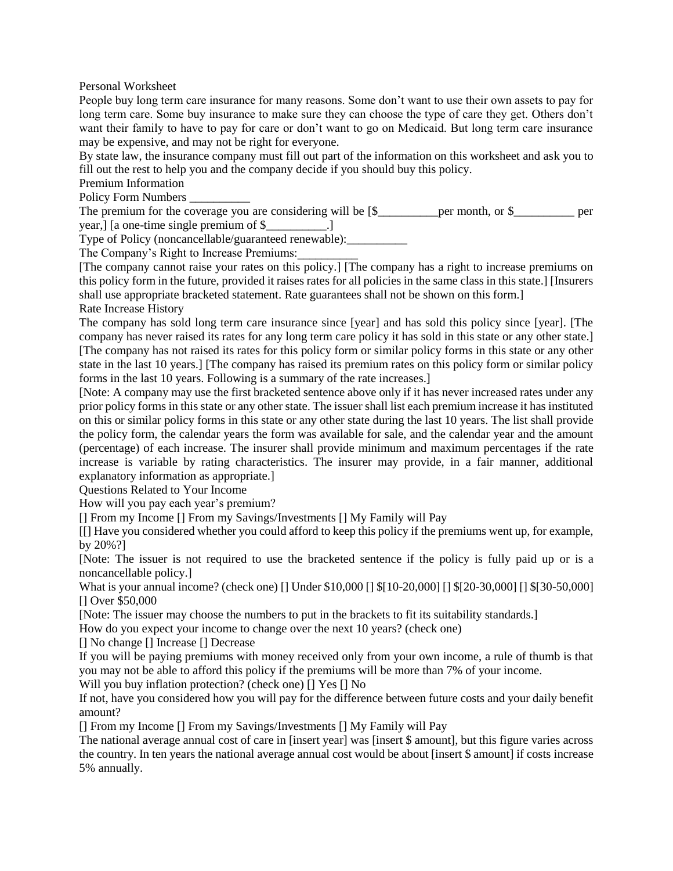Personal Worksheet

People buy long term care insurance for many reasons. Some don't want to use their own assets to pay for long term care. Some buy insurance to make sure they can choose the type of care they get. Others don't want their family to have to pay for care or don't want to go on Medicaid. But long term care insurance may be expensive, and may not be right for everyone.

By state law, the insurance company must fill out part of the information on this worksheet and ask you to fill out the rest to help you and the company decide if you should buy this policy.

Premium Information

Policy Form Numbers \_\_\_\_\_\_\_\_\_\_

The premium for the coverage you are considering will be  $[\$$  \_\_\_\_\_\_\_\_\_per month, or  $\$$  \_\_\_\_\_\_\_\_\_\_\_\_ per year,] [a one-time single premium of \$\_\_\_\_\_\_\_\_\_\_.]

Type of Policy (noncancellable/guaranteed renewable):\_\_\_\_\_\_\_\_\_\_

The Company's Right to Increase Premiums:

[The company cannot raise your rates on this policy.] [The company has a right to increase premiums on this policy form in the future, provided it raises rates for all policies in the same class in this state.] [Insurers shall use appropriate bracketed statement. Rate guarantees shall not be shown on this form.]

Rate Increase History

The company has sold long term care insurance since [year] and has sold this policy since [year]. [The company has never raised its rates for any long term care policy it has sold in this state or any other state.] [The company has not raised its rates for this policy form or similar policy forms in this state or any other state in the last 10 years.] [The company has raised its premium rates on this policy form or similar policy forms in the last 10 years. Following is a summary of the rate increases.]

[Note: A company may use the first bracketed sentence above only if it has never increased rates under any prior policy forms in this state or any other state. The issuer shall list each premium increase it has instituted on this or similar policy forms in this state or any other state during the last 10 years. The list shall provide the policy form, the calendar years the form was available for sale, and the calendar year and the amount (percentage) of each increase. The insurer shall provide minimum and maximum percentages if the rate increase is variable by rating characteristics. The insurer may provide, in a fair manner, additional explanatory information as appropriate.]

Questions Related to Your Income

How will you pay each year's premium?

[] From my Income [] From my Savings/Investments [] My Family will Pay

[[] Have you considered whether you could afford to keep this policy if the premiums went up, for example, by 20%?]

[Note: The issuer is not required to use the bracketed sentence if the policy is fully paid up or is a noncancellable policy.]

What is your annual income? (check one) [] Under \$10,000 [] \$[10-20,000] [] \$[20-30,000] [] \$[30-50,000] [] Over \$50,000

[Note: The issuer may choose the numbers to put in the brackets to fit its suitability standards.]

How do you expect your income to change over the next 10 years? (check one)

[] No change [] Increase [] Decrease

If you will be paying premiums with money received only from your own income, a rule of thumb is that you may not be able to afford this policy if the premiums will be more than 7% of your income.

Will you buy inflation protection? (check one) [] Yes [] No

If not, have you considered how you will pay for the difference between future costs and your daily benefit amount?

[] From my Income [] From my Savings/Investments [] My Family will Pay

The national average annual cost of care in [insert year] was [insert \$ amount], but this figure varies across the country. In ten years the national average annual cost would be about [insert \$ amount] if costs increase 5% annually.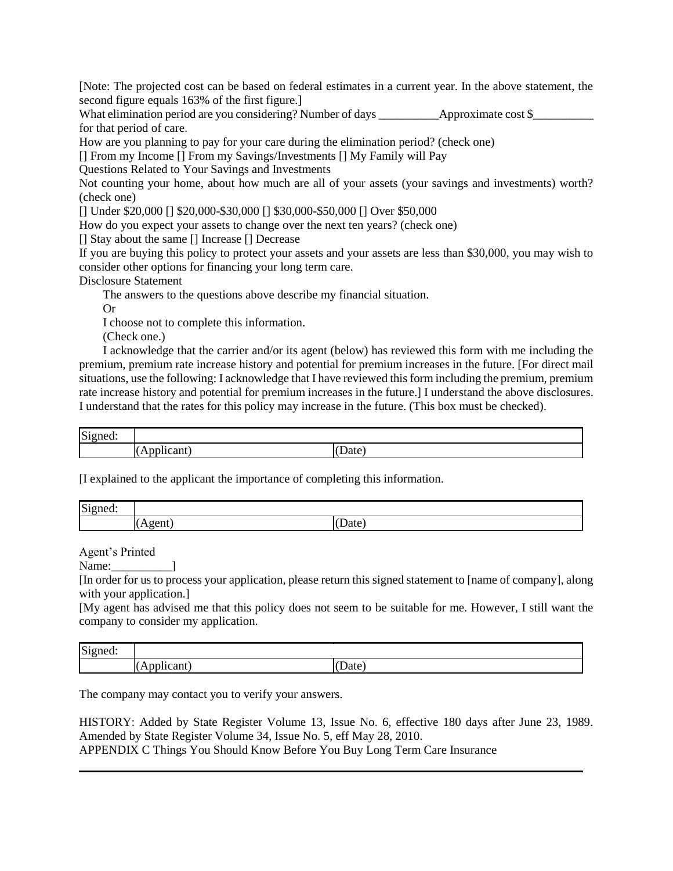[Note: The projected cost can be based on federal estimates in a current year. In the above statement, the second figure equals 163% of the first figure.]

What elimination period are you considering? Number of days \_\_\_\_\_\_\_\_\_\_\_\_\_Approximate cost \$\_\_\_\_\_\_\_\_\_ for that period of care.

How are you planning to pay for your care during the elimination period? (check one)

[] From my Income [] From my Savings/Investments [] My Family will Pay

Questions Related to Your Savings and Investments

Not counting your home, about how much are all of your assets (your savings and investments) worth? (check one)

[] Under \$20,000 [] \$20,000-\$30,000 [] \$30,000-\$50,000 [] Over \$50,000

How do you expect your assets to change over the next ten years? (check one)

[] Stay about the same [] Increase [] Decrease

If you are buying this policy to protect your assets and your assets are less than \$30,000, you may wish to consider other options for financing your long term care.

Disclosure Statement

The answers to the questions above describe my financial situation.

Or

I choose not to complete this information.

(Check one.)

I acknowledge that the carrier and/or its agent (below) has reviewed this form with me including the premium, premium rate increase history and potential for premium increases in the future. [For direct mail situations, use the following: I acknowledge that I have reviewed this form including the premium, premium rate increase history and potential for premium increases in the future.] I understand the above disclosures. I understand that the rates for this policy may increase in the future. (This box must be checked).

| Signed: |                      |       |
|---------|----------------------|-------|
|         | www.<br>$\mathbf{A}$ | (Date |

[I explained to the applicant the importance of completing this information.

| Signed: |              |        |
|---------|--------------|--------|
|         | (Agent)<br>ັ | (Date) |

Agent's Printed

Name:

[In order for us to process your application, please return this signed statement to [name of company], along with your application.]

[My agent has advised me that this policy does not seem to be suitable for me. However, I still want the company to consider my application.

| IC:<br>$\degree$ 10.<br>ിവു |      |
|-----------------------------|------|
|                             | , uu |

The company may contact you to verify your answers.

HISTORY: Added by State Register Volume 13, Issue No. 6, effective 180 days after June 23, 1989. Amended by State Register Volume 34, Issue No. 5, eff May 28, 2010. APPENDIX C Things You Should Know Before You Buy Long Term Care Insurance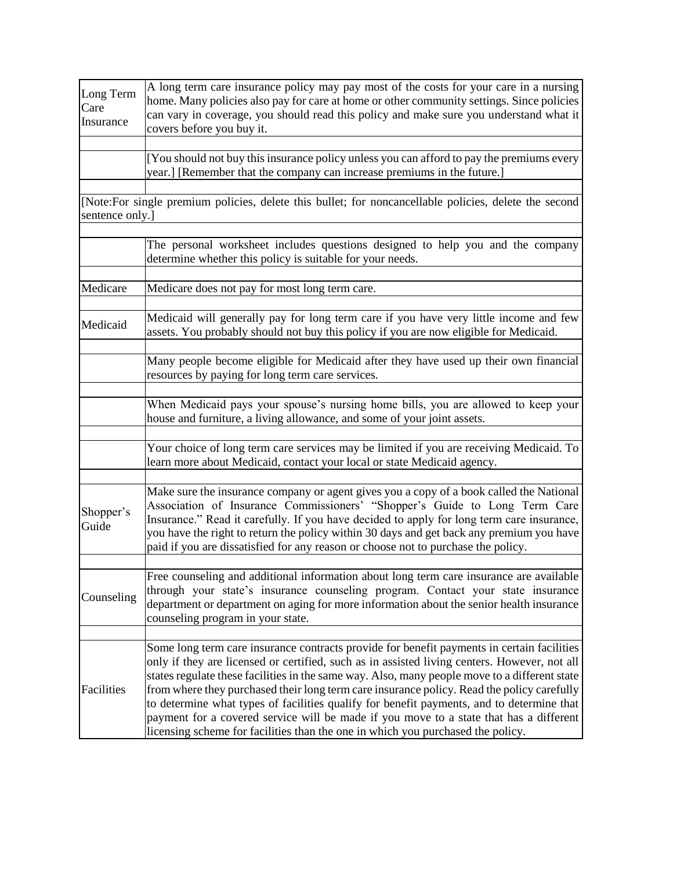| Long Term<br>Care<br>Insurance | A long term care insurance policy may pay most of the costs for your care in a nursing<br>home. Many policies also pay for care at home or other community settings. Since policies<br>can vary in coverage, you should read this policy and make sure you understand what it<br>covers before you buy it.                                                                                                                                                                                                                                                                                                                                                          |
|--------------------------------|---------------------------------------------------------------------------------------------------------------------------------------------------------------------------------------------------------------------------------------------------------------------------------------------------------------------------------------------------------------------------------------------------------------------------------------------------------------------------------------------------------------------------------------------------------------------------------------------------------------------------------------------------------------------|
|                                | [You should not buy this insurance policy unless you can afford to pay the premiums every<br>year.] [Remember that the company can increase premiums in the future.]                                                                                                                                                                                                                                                                                                                                                                                                                                                                                                |
| sentence only.]                | [Note:For single premium policies, delete this bullet; for noncancellable policies, delete the second                                                                                                                                                                                                                                                                                                                                                                                                                                                                                                                                                               |
|                                | The personal worksheet includes questions designed to help you and the company<br>determine whether this policy is suitable for your needs.                                                                                                                                                                                                                                                                                                                                                                                                                                                                                                                         |
| Medicare                       | Medicare does not pay for most long term care.                                                                                                                                                                                                                                                                                                                                                                                                                                                                                                                                                                                                                      |
| Medicaid                       | Medicaid will generally pay for long term care if you have very little income and few<br>assets. You probably should not buy this policy if you are now eligible for Medicaid.                                                                                                                                                                                                                                                                                                                                                                                                                                                                                      |
|                                | Many people become eligible for Medicaid after they have used up their own financial<br>resources by paying for long term care services.                                                                                                                                                                                                                                                                                                                                                                                                                                                                                                                            |
|                                | When Medicaid pays your spouse's nursing home bills, you are allowed to keep your<br>house and furniture, a living allowance, and some of your joint assets.                                                                                                                                                                                                                                                                                                                                                                                                                                                                                                        |
|                                | Your choice of long term care services may be limited if you are receiving Medicaid. To<br>learn more about Medicaid, contact your local or state Medicaid agency.                                                                                                                                                                                                                                                                                                                                                                                                                                                                                                  |
| Shopper's<br>Guide             | Make sure the insurance company or agent gives you a copy of a book called the National<br>Association of Insurance Commissioners' "Shopper's Guide to Long Term Care<br>Insurance." Read it carefully. If you have decided to apply for long term care insurance,<br>you have the right to return the policy within 30 days and get back any premium you have<br>paid if you are dissatisfied for any reason or choose not to purchase the policy.                                                                                                                                                                                                                 |
| Counseling                     | Free counseling and additional information about long term care insurance are available<br>through your state's insurance counseling program. Contact your state insurance<br>department or department on aging for more information about the senior health insurance<br>counseling program in your state.                                                                                                                                                                                                                                                                                                                                                         |
| Facilities                     | Some long term care insurance contracts provide for benefit payments in certain facilities<br>only if they are licensed or certified, such as in assisted living centers. However, not all<br>states regulate these facilities in the same way. Also, many people move to a different state<br>from where they purchased their long term care insurance policy. Read the policy carefully<br>to determine what types of facilities qualify for benefit payments, and to determine that<br>payment for a covered service will be made if you move to a state that has a different<br>licensing scheme for facilities than the one in which you purchased the policy. |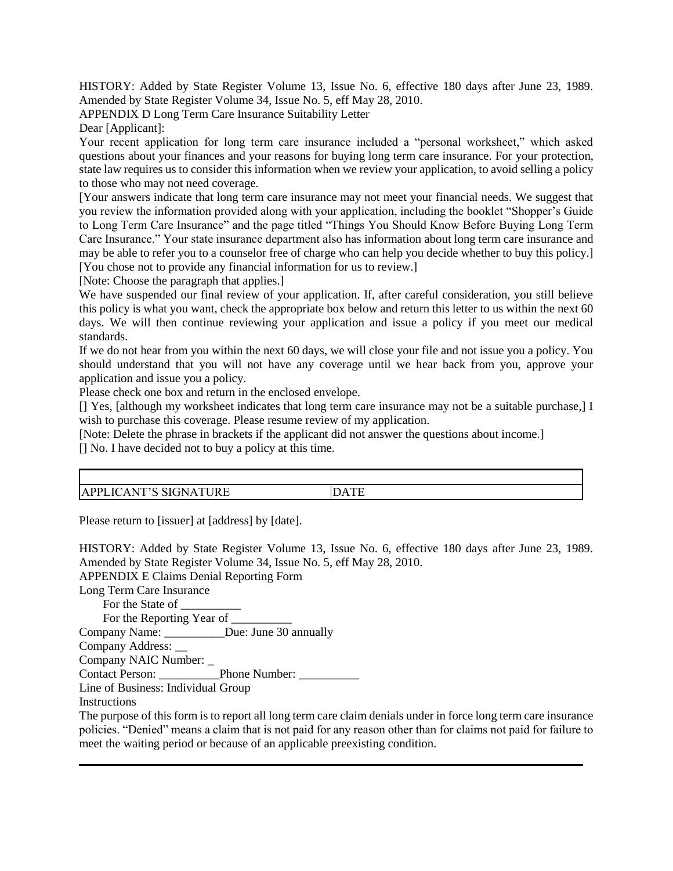HISTORY: Added by State Register Volume 13, Issue No. 6, effective 180 days after June 23, 1989. Amended by State Register Volume 34, Issue No. 5, eff May 28, 2010.

APPENDIX D Long Term Care Insurance Suitability Letter

Dear [Applicant]:

Your recent application for long term care insurance included a "personal worksheet," which asked questions about your finances and your reasons for buying long term care insurance. For your protection, state law requires us to consider this information when we review your application, to avoid selling a policy to those who may not need coverage.

[Your answers indicate that long term care insurance may not meet your financial needs. We suggest that you review the information provided along with your application, including the booklet "Shopper's Guide to Long Term Care Insurance" and the page titled "Things You Should Know Before Buying Long Term Care Insurance." Your state insurance department also has information about long term care insurance and may be able to refer you to a counselor free of charge who can help you decide whether to buy this policy.] [You chose not to provide any financial information for us to review.]

[Note: Choose the paragraph that applies.]

We have suspended our final review of your application. If, after careful consideration, you still believe this policy is what you want, check the appropriate box below and return this letter to us within the next 60 days. We will then continue reviewing your application and issue a policy if you meet our medical standards.

If we do not hear from you within the next 60 days, we will close your file and not issue you a policy. You should understand that you will not have any coverage until we hear back from you, approve your application and issue you a policy.

Please check one box and return in the enclosed envelope.

[] Yes, [although my worksheet indicates that long term care insurance may not be a suitable purchase,] I wish to purchase this coverage. Please resume review of my application.

[Note: Delete the phrase in brackets if the applicant did not answer the questions about income.]

[] No. I have decided not to buy a policy at this time.

| $\alpha$ T $\alpha$ $\alpha$ T $\alpha$<br>JRE<br>$\tau$<br>$AP^{\dagger}$<br>Л<br>A N<br>$\cdots$<br>л. | w<br>$\lambda$ |
|----------------------------------------------------------------------------------------------------------|----------------|

Please return to [issuer] at [address] by [date].

HISTORY: Added by State Register Volume 13, Issue No. 6, effective 180 days after June 23, 1989. Amended by State Register Volume 34, Issue No. 5, eff May 28, 2010.

APPENDIX E Claims Denial Reporting Form

Long Term Care Insurance

For the State of

For the Reporting Year of \_\_\_\_\_\_\_\_\_\_ Company Name: \_\_\_\_\_\_\_\_\_\_\_\_Due: June 30 annually

Company Address: \_\_

Company NAIC Number: \_

Contact Person: Phone Number:

Line of Business: Individual Group

**Instructions** 

The purpose of this form is to report all long term care claim denials under in force long term care insurance policies. "Denied" means a claim that is not paid for any reason other than for claims not paid for failure to meet the waiting period or because of an applicable preexisting condition.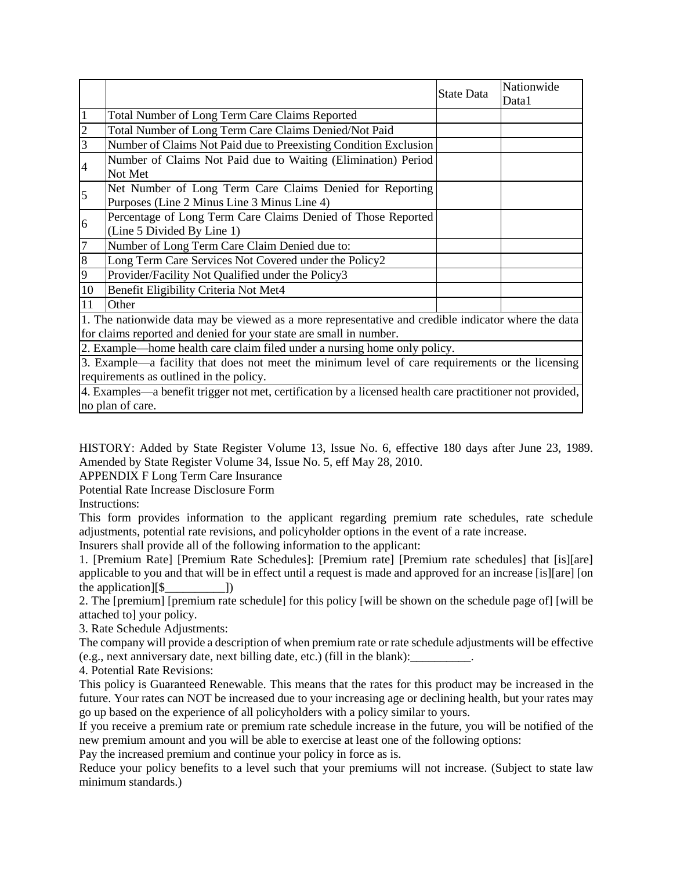|                                                                                                           |                                                                  | <b>State Data</b> | Nationwide |
|-----------------------------------------------------------------------------------------------------------|------------------------------------------------------------------|-------------------|------------|
|                                                                                                           |                                                                  |                   | Data1      |
| 11                                                                                                        | <b>Total Number of Long Term Care Claims Reported</b>            |                   |            |
| $\overline{2}$                                                                                            | Total Number of Long Term Care Claims Denied/Not Paid            |                   |            |
| $\overline{3}$                                                                                            | Number of Claims Not Paid due to Preexisting Condition Exclusion |                   |            |
| $\overline{4}$                                                                                            | Number of Claims Not Paid due to Waiting (Elimination) Period    |                   |            |
|                                                                                                           | Not Met                                                          |                   |            |
| $\overline{5}$                                                                                            | Net Number of Long Term Care Claims Denied for Reporting         |                   |            |
|                                                                                                           | Purposes (Line 2 Minus Line 3 Minus Line 4)                      |                   |            |
| 6                                                                                                         | Percentage of Long Term Care Claims Denied of Those Reported     |                   |            |
|                                                                                                           | (Line 5 Divided By Line 1)                                       |                   |            |
| $\overline{7}$                                                                                            | Number of Long Term Care Claim Denied due to:                    |                   |            |
| $\overline{8}$                                                                                            | Long Term Care Services Not Covered under the Policy2            |                   |            |
| $\overline{9}$                                                                                            | Provider/Facility Not Qualified under the Policy3                |                   |            |
| 10                                                                                                        | Benefit Eligibility Criteria Not Met4                            |                   |            |
| 11                                                                                                        | Other                                                            |                   |            |
| 1. The nationwide data may be viewed as a more representative and credible indicator where the data       |                                                                  |                   |            |
| for claims reported and denied for your state are small in number.                                        |                                                                  |                   |            |
| 2. Example—home health care claim filed under a nursing home only policy.                                 |                                                                  |                   |            |
| 3. Example—a facility that does not meet the minimum level of care requirements or the licensing          |                                                                  |                   |            |
| requirements as outlined in the policy.                                                                   |                                                                  |                   |            |
| 4. Examples—a benefit trigger not met, certification by a licensed health care practitioner not provided, |                                                                  |                   |            |
|                                                                                                           | no plan of care.                                                 |                   |            |

HISTORY: Added by State Register Volume 13, Issue No. 6, effective 180 days after June 23, 1989. Amended by State Register Volume 34, Issue No. 5, eff May 28, 2010.

APPENDIX F Long Term Care Insurance

Potential Rate Increase Disclosure Form

Instructions:

This form provides information to the applicant regarding premium rate schedules, rate schedule adjustments, potential rate revisions, and policyholder options in the event of a rate increase.

Insurers shall provide all of the following information to the applicant:

1. [Premium Rate] [Premium Rate Schedules]: [Premium rate] [Premium rate schedules] that [is][are] applicable to you and that will be in effect until a request is made and approved for an increase [is][are] [on the application][\$\_\_\_\_\_\_\_\_\_\_])

2. The [premium] [premium rate schedule] for this policy [will be shown on the schedule page of] [will be attached to] your policy.

3. Rate Schedule Adjustments:

The company will provide a description of when premium rate or rate schedule adjustments will be effective (e.g., next anniversary date, next billing date, etc.) (fill in the blank):\_\_\_\_\_\_\_\_\_\_.

4. Potential Rate Revisions:

This policy is Guaranteed Renewable. This means that the rates for this product may be increased in the future. Your rates can NOT be increased due to your increasing age or declining health, but your rates may go up based on the experience of all policyholders with a policy similar to yours.

If you receive a premium rate or premium rate schedule increase in the future, you will be notified of the new premium amount and you will be able to exercise at least one of the following options:

Pay the increased premium and continue your policy in force as is.

Reduce your policy benefits to a level such that your premiums will not increase. (Subject to state law minimum standards.)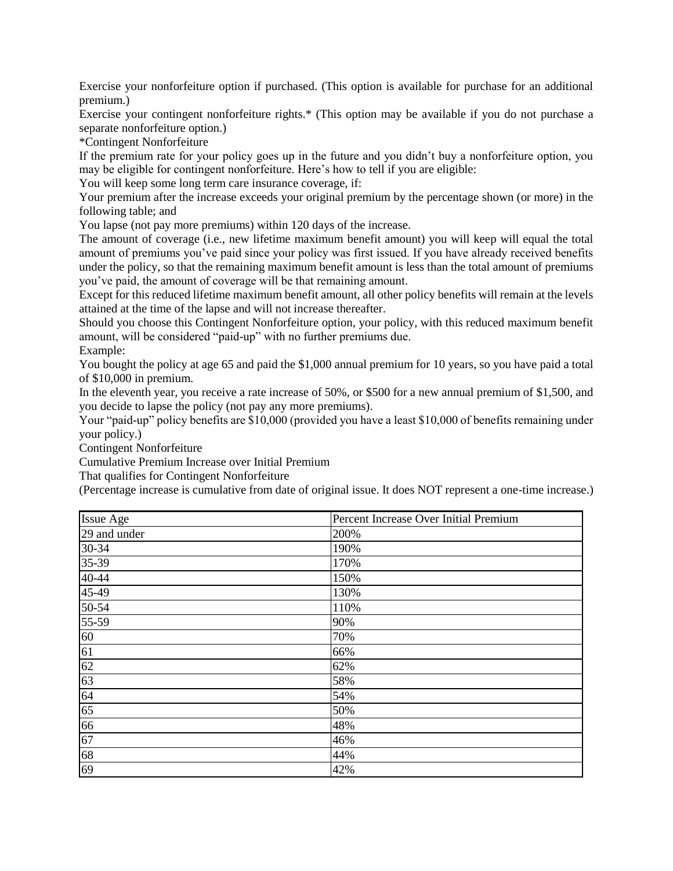Exercise your nonforfeiture option if purchased. (This option is available for purchase for an additional premium.)

Exercise your contingent nonforfeiture rights.\* (This option may be available if you do not purchase a separate nonforfeiture option.)

\*Contingent Nonforfeiture

If the premium rate for your policy goes up in the future and you didn't buy a nonforfeiture option, you may be eligible for contingent nonforfeiture. Here's how to tell if you are eligible:

You will keep some long term care insurance coverage, if:

Your premium after the increase exceeds your original premium by the percentage shown (or more) in the following table; and

You lapse (not pay more premiums) within 120 days of the increase.

The amount of coverage (i.e., new lifetime maximum benefit amount) you will keep will equal the total amount of premiums you've paid since your policy was first issued. If you have already received benefits under the policy, so that the remaining maximum benefit amount is less than the total amount of premiums you've paid, the amount of coverage will be that remaining amount.

Except for this reduced lifetime maximum benefit amount, all other policy benefits will remain at the levels attained at the time of the lapse and will not increase thereafter.

Should you choose this Contingent Nonforfeiture option, your policy, with this reduced maximum benefit amount, will be considered "paid-up" with no further premiums due. Example:

You bought the policy at age 65 and paid the \$1,000 annual premium for 10 years, so you have paid a total of \$10,000 in premium.

In the eleventh year, you receive a rate increase of 50%, or \$500 for a new annual premium of \$1,500, and you decide to lapse the policy (not pay any more premiums).

Your "paid-up" policy benefits are \$10,000 (provided you have a least \$10,000 of benefits remaining under your policy.)

Contingent Nonforfeiture

Cumulative Premium Increase over Initial Premium

That qualifies for Contingent Nonforfeiture

(Percentage increase is cumulative from date of original issue. It does NOT represent a one-time increase.)

| <b>Issue Age</b> | Percent Increase Over Initial Premium |
|------------------|---------------------------------------|
| 29 and under     | 200%                                  |
| 30-34            | 190%                                  |
| 35-39            | 170%                                  |
| 40-44            | 150%                                  |
| 45-49            | 130%                                  |
| 50-54            | 110%                                  |
| $55-59$          | 90%                                   |
| 60               | 70%                                   |
| 61               | 66%                                   |
| 62               | 62%                                   |
| 63               | 58%                                   |
| 64               | 54%                                   |
| 65               | 50%                                   |
| 66               | 48%                                   |
| 67               | 46%                                   |
| 68               | 44%                                   |
| 69               | 42%                                   |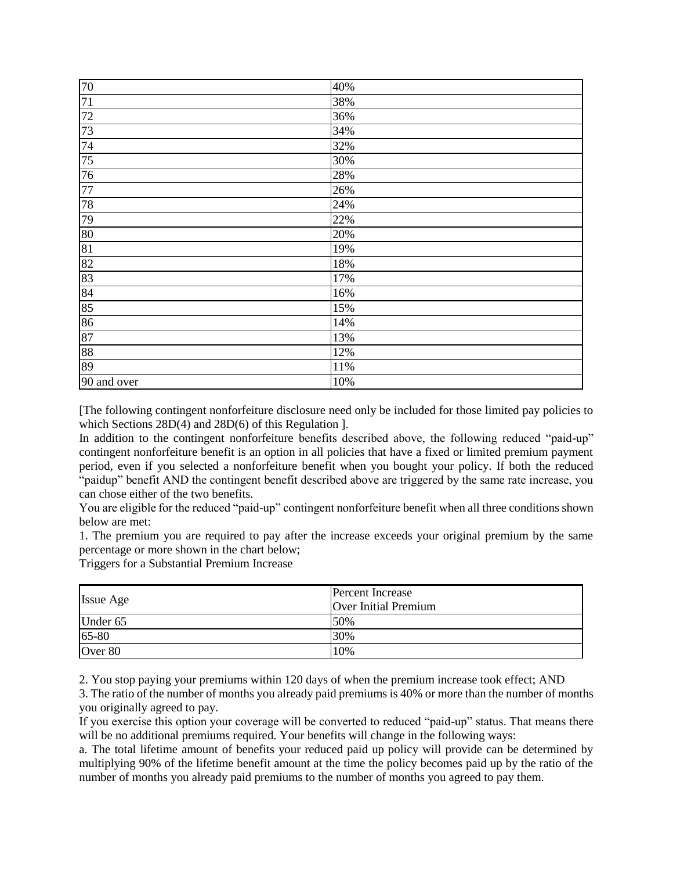| 70              | 40% |
|-----------------|-----|
| $\overline{71}$ | 38% |
| 72              | 36% |
| 73              | 34% |
| 74              | 32% |
| 75              | 30% |
| 76              | 28% |
| 77              | 26% |
| 78              | 24% |
| 79              | 22% |
| 80              | 20% |
| 81              | 19% |
| 82              | 18% |
| 83              | 17% |
| 84              | 16% |
| 85              | 15% |
| 86              | 14% |
| 87              | 13% |
| 88              | 12% |
| 89              | 11% |
| 90 and over     | 10% |

[The following contingent nonforfeiture disclosure need only be included for those limited pay policies to which Sections 28D(4) and 28D(6) of this Regulation ].

In addition to the contingent nonforfeiture benefits described above, the following reduced "paid-up" contingent nonforfeiture benefit is an option in all policies that have a fixed or limited premium payment period, even if you selected a nonforfeiture benefit when you bought your policy. If both the reduced "paidup" benefit AND the contingent benefit described above are triggered by the same rate increase, you can chose either of the two benefits.

You are eligible for the reduced "paid-up" contingent nonforfeiture benefit when all three conditions shown below are met:

1. The premium you are required to pay after the increase exceeds your original premium by the same percentage or more shown in the chart below;

Triggers for a Substantial Premium Increase

| <b>Issue Age</b> | Percent Increase<br>Over Initial Premium |
|------------------|------------------------------------------|
| Under 65         | 50%                                      |
| 65-80            | 30%                                      |
| Over 80          | 10%                                      |

2. You stop paying your premiums within 120 days of when the premium increase took effect; AND

3. The ratio of the number of months you already paid premiums is 40% or more than the number of months you originally agreed to pay.

If you exercise this option your coverage will be converted to reduced "paid-up" status. That means there will be no additional premiums required. Your benefits will change in the following ways:

a. The total lifetime amount of benefits your reduced paid up policy will provide can be determined by multiplying 90% of the lifetime benefit amount at the time the policy becomes paid up by the ratio of the number of months you already paid premiums to the number of months you agreed to pay them.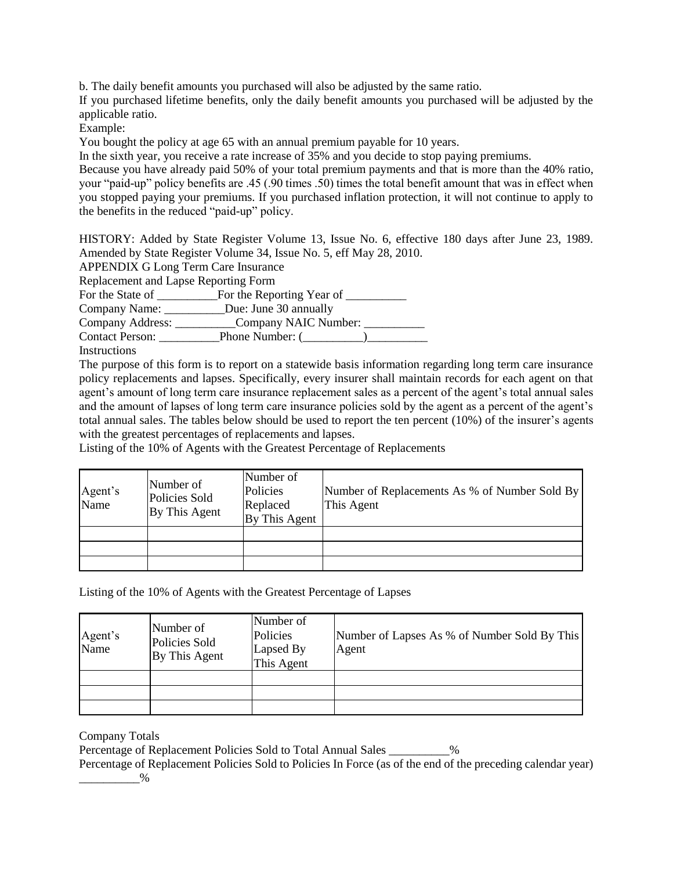b. The daily benefit amounts you purchased will also be adjusted by the same ratio.

If you purchased lifetime benefits, only the daily benefit amounts you purchased will be adjusted by the applicable ratio.

Example:

You bought the policy at age 65 with an annual premium payable for 10 years.

In the sixth year, you receive a rate increase of 35% and you decide to stop paying premiums.

Because you have already paid 50% of your total premium payments and that is more than the 40% ratio, your "paid-up" policy benefits are .45 (.90 times .50) times the total benefit amount that was in effect when you stopped paying your premiums. If you purchased inflation protection, it will not continue to apply to the benefits in the reduced "paid-up" policy.

HISTORY: Added by State Register Volume 13, Issue No. 6, effective 180 days after June 23, 1989. Amended by State Register Volume 34, Issue No. 5, eff May 28, 2010.

APPENDIX G Long Term Care Insurance

Replacement and Lapse Reporting Form

For the State of \_\_\_\_\_\_\_\_\_\_For the Reporting Year of \_\_\_\_\_\_\_\_\_\_

Company Name: \_\_\_\_\_\_\_\_\_\_Due: June 30 annually

Company Address: \_\_\_\_\_\_\_\_\_\_Company NAIC Number: \_\_\_\_\_\_\_\_\_\_\_\_\_\_\_\_\_\_\_\_\_\_\_\_\_\_\_\_\_\_\_\_\_

Contact Person: Phone Number: (\_\_\_\_\_\_\_\_)

Instructions

The purpose of this form is to report on a statewide basis information regarding long term care insurance policy replacements and lapses. Specifically, every insurer shall maintain records for each agent on that agent's amount of long term care insurance replacement sales as a percent of the agent's total annual sales and the amount of lapses of long term care insurance policies sold by the agent as a percent of the agent's total annual sales. The tables below should be used to report the ten percent (10%) of the insurer's agents with the greatest percentages of replacements and lapses.

Listing of the 10% of Agents with the Greatest Percentage of Replacements

| Agent's<br>Name | Number of<br>Policies Sold<br>By This Agent | Number of<br><b>Policies</b><br>Replaced<br>By This Agent | Number of Replacements As % of Number Sold By<br>This Agent |
|-----------------|---------------------------------------------|-----------------------------------------------------------|-------------------------------------------------------------|
|                 |                                             |                                                           |                                                             |
|                 |                                             |                                                           |                                                             |
|                 |                                             |                                                           |                                                             |

Listing of the 10% of Agents with the Greatest Percentage of Lapses

| Agent's<br>Name | Number of<br>Policies Sold<br>By This Agent | Number of<br>Policies<br>Lapsed By<br>This Agent | Number of Lapses As % of Number Sold By This<br>Agent |
|-----------------|---------------------------------------------|--------------------------------------------------|-------------------------------------------------------|
|                 |                                             |                                                  |                                                       |
|                 |                                             |                                                  |                                                       |
|                 |                                             |                                                  |                                                       |

Company Totals

Percentage of Replacement Policies Sold to Total Annual Sales \_\_\_\_\_\_\_\_\_%

Percentage of Replacement Policies Sold to Policies In Force (as of the end of the preceding calendar year)  $\%$